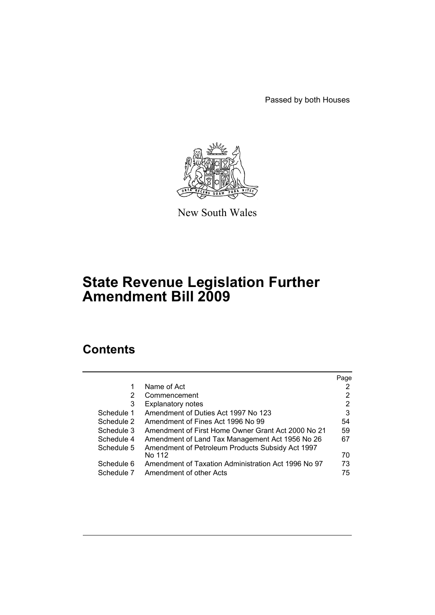Passed by both Houses



New South Wales

# **State Revenue Legislation Further Amendment Bill 2009**

# **Contents**

|                                                     | Page |
|-----------------------------------------------------|------|
| Name of Act                                         |      |
| Commencement                                        | 2    |
| <b>Explanatory notes</b>                            | 2    |
| Amendment of Duties Act 1997 No 123                 | 3    |
| Amendment of Fines Act 1996 No 99                   | 54   |
| Amendment of First Home Owner Grant Act 2000 No 21  | 59   |
| Amendment of Land Tax Management Act 1956 No 26     | 67   |
| Amendment of Petroleum Products Subsidy Act 1997    |      |
| No 112                                              | 70   |
| Amendment of Taxation Administration Act 1996 No 97 | 73   |
| Amendment of other Acts                             | 75   |
|                                                     |      |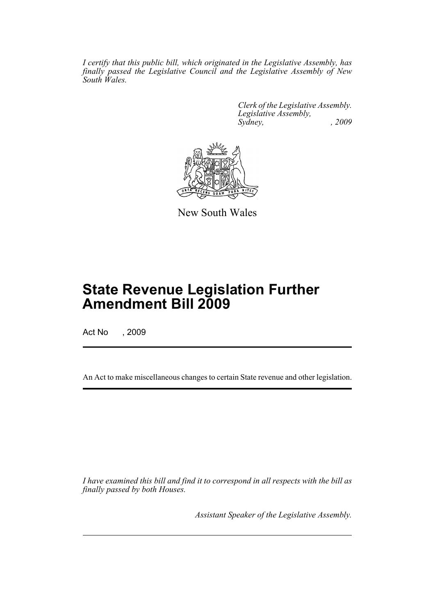*I certify that this public bill, which originated in the Legislative Assembly, has finally passed the Legislative Council and the Legislative Assembly of New South Wales.*

> *Clerk of the Legislative Assembly. Legislative Assembly, Sydney, , 2009*



New South Wales

# **State Revenue Legislation Further Amendment Bill 2009**

Act No , 2009

An Act to make miscellaneous changes to certain State revenue and other legislation.

*I have examined this bill and find it to correspond in all respects with the bill as finally passed by both Houses.*

*Assistant Speaker of the Legislative Assembly.*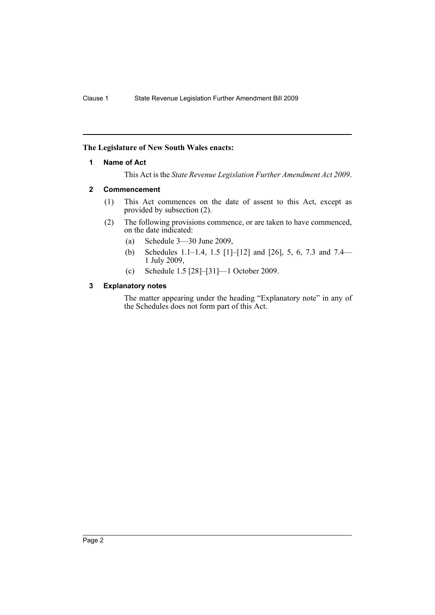# <span id="page-2-0"></span>**The Legislature of New South Wales enacts:**

# **1 Name of Act**

This Act is the *State Revenue Legislation Further Amendment Act 2009*.

## <span id="page-2-1"></span>**2 Commencement**

- (1) This Act commences on the date of assent to this Act, except as provided by subsection (2).
- (2) The following provisions commence, or are taken to have commenced, on the date indicated:
	- (a) Schedule 3—30 June 2009,
	- (b) Schedules 1.1–1.4, 1.5 [1]–[12] and [26], 5, 6, 7.3 and 7.4— 1 July 2009,
	- (c) Schedule 1.5 [28]–[31]—1 October 2009.

# <span id="page-2-2"></span>**3 Explanatory notes**

The matter appearing under the heading "Explanatory note" in any of the Schedules does not form part of this Act.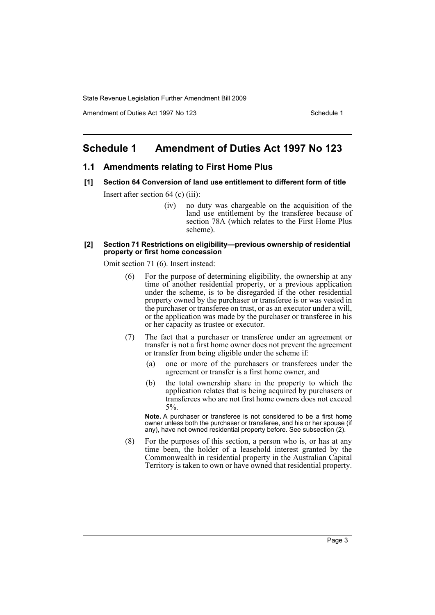Amendment of Duties Act 1997 No 123 Schedule 1

# <span id="page-3-0"></span>**Schedule 1 Amendment of Duties Act 1997 No 123**

#### **1.1 Amendments relating to First Home Plus**

- **[1] Section 64 Conversion of land use entitlement to different form of title** Insert after section 64 (c) (iii):
	- (iv) no duty was chargeable on the acquisition of the land use entitlement by the transferee because of section 78A (which relates to the First Home Plus scheme).

#### **[2] Section 71 Restrictions on eligibility—previous ownership of residential property or first home concession**

Omit section 71 (6). Insert instead:

- (6) For the purpose of determining eligibility, the ownership at any time of another residential property, or a previous application under the scheme, is to be disregarded if the other residential property owned by the purchaser or transferee is or was vested in the purchaser or transferee on trust, or as an executor under a will, or the application was made by the purchaser or transferee in his or her capacity as trustee or executor.
- (7) The fact that a purchaser or transferee under an agreement or transfer is not a first home owner does not prevent the agreement or transfer from being eligible under the scheme if:
	- (a) one or more of the purchasers or transferees under the agreement or transfer is a first home owner, and
	- (b) the total ownership share in the property to which the application relates that is being acquired by purchasers or transferees who are not first home owners does not exceed 5%.

**Note.** A purchaser or transferee is not considered to be a first home owner unless both the purchaser or transferee, and his or her spouse (if any), have not owned residential property before. See subsection (2).

(8) For the purposes of this section, a person who is, or has at any time been, the holder of a leasehold interest granted by the Commonwealth in residential property in the Australian Capital Territory is taken to own or have owned that residential property.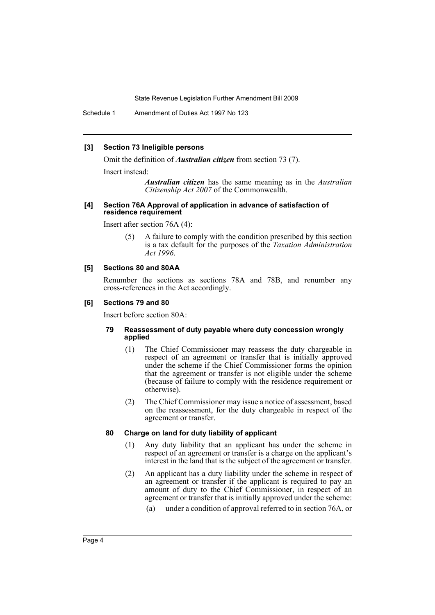Schedule 1 Amendment of Duties Act 1997 No 123

#### **[3] Section 73 Ineligible persons**

Omit the definition of *Australian citizen* from section 73 (7).

Insert instead:

*Australian citizen* has the same meaning as in the *Australian Citizenship Act 2007* of the Commonwealth.

#### **[4] Section 76A Approval of application in advance of satisfaction of residence requirement**

Insert after section 76A (4):

(5) A failure to comply with the condition prescribed by this section is a tax default for the purposes of the *Taxation Administration Act 1996*.

# **[5] Sections 80 and 80AA**

Renumber the sections as sections 78A and 78B, and renumber any cross-references in the Act accordingly.

#### **[6] Sections 79 and 80**

Insert before section 80A:

#### **79 Reassessment of duty payable where duty concession wrongly applied**

- (1) The Chief Commissioner may reassess the duty chargeable in respect of an agreement or transfer that is initially approved under the scheme if the Chief Commissioner forms the opinion that the agreement or transfer is not eligible under the scheme (because of failure to comply with the residence requirement or otherwise).
- (2) The Chief Commissioner may issue a notice of assessment, based on the reassessment, for the duty chargeable in respect of the agreement or transfer.

#### **80 Charge on land for duty liability of applicant**

- (1) Any duty liability that an applicant has under the scheme in respect of an agreement or transfer is a charge on the applicant's interest in the land that is the subject of the agreement or transfer.
- (2) An applicant has a duty liability under the scheme in respect of an agreement or transfer if the applicant is required to pay an amount of duty to the Chief Commissioner, in respect of an agreement or transfer that is initially approved under the scheme:
	- (a) under a condition of approval referred to in section 76A, or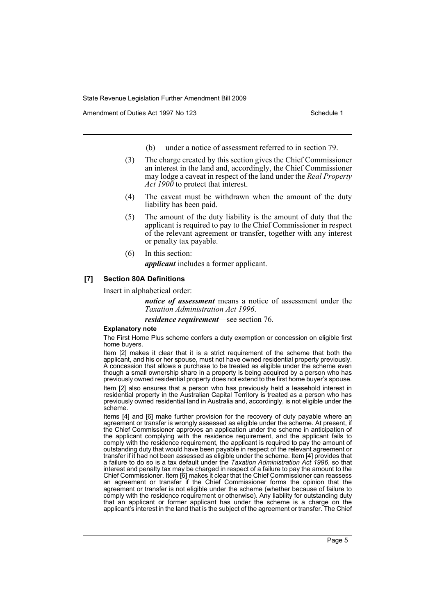Amendment of Duties Act 1997 No 123 Schedule 1

- (b) under a notice of assessment referred to in section 79.
- (3) The charge created by this section gives the Chief Commissioner an interest in the land and, accordingly, the Chief Commissioner may lodge a caveat in respect of the land under the *Real Property Act 1900* to protect that interest.
- (4) The caveat must be withdrawn when the amount of the duty liability has been paid.
- (5) The amount of the duty liability is the amount of duty that the applicant is required to pay to the Chief Commissioner in respect of the relevant agreement or transfer, together with any interest or penalty tax payable.
- (6) In this section:

*applicant* includes a former applicant.

# **[7] Section 80A Definitions**

Insert in alphabetical order:

*notice of assessment* means a notice of assessment under the *Taxation Administration Act 1996*.

*residence requirement*—see section 76.

#### **Explanatory note**

The First Home Plus scheme confers a duty exemption or concession on eligible first home buyers.

Item [2] makes it clear that it is a strict requirement of the scheme that both the applicant, and his or her spouse, must not have owned residential property previously. A concession that allows a purchase to be treated as eligible under the scheme even though a small ownership share in a property is being acquired by a person who has previously owned residential property does not extend to the first home buyer's spouse. Item [2] also ensures that a person who has previously held a leasehold interest in residential property in the Australian Capital Territory is treated as a person who has previously owned residential land in Australia and, accordingly, is not eligible under the scheme.

Items [4] and [6] make further provision for the recovery of duty payable where an agreement or transfer is wrongly assessed as eligible under the scheme. At present, if the Chief Commissioner approves an application under the scheme in anticipation of the applicant complying with the residence requirement, and the applicant fails to comply with the residence requirement, the applicant is required to pay the amount of outstanding duty that would have been payable in respect of the relevant agreement or transfer if it had not been assessed as eligible under the scheme. Item [4] provides that a failure to do so is a tax default under the *Taxation Administration Act 1996*, so that interest and penalty tax may be charged in respect of a failure to pay the amount to the Chief Commissioner. Item [6] makes it clear that the Chief Commissioner can reassess an agreement or transfer if the Chief Commissioner forms the opinion that the agreement or transfer is not eligible under the scheme (whether because of failure to comply with the residence requirement or otherwise). Any liability for outstanding duty that an applicant or former applicant has under the scheme is a charge on the applicant's interest in the land that is the subject of the agreement or transfer. The Chief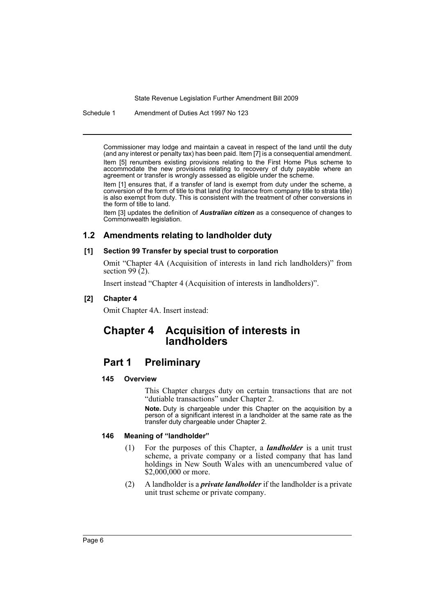Schedule 1 Amendment of Duties Act 1997 No 123

Commissioner may lodge and maintain a caveat in respect of the land until the duty (and any interest or penalty tax) has been paid. Item [7] is a consequential amendment. Item [5] renumbers existing provisions relating to the First Home Plus scheme to accommodate the new provisions relating to recovery of duty payable where an agreement or transfer is wrongly assessed as eligible under the scheme.

Item [1] ensures that, if a transfer of land is exempt from duty under the scheme, a conversion of the form of title to that land (for instance from company title to strata title) is also exempt from duty. This is consistent with the treatment of other conversions in the form of title to land.

Item [3] updates the definition of *Australian citizen* as a consequence of changes to Commonwealth legislation.

# **1.2 Amendments relating to landholder duty**

#### **[1] Section 99 Transfer by special trust to corporation**

Omit "Chapter 4A (Acquisition of interests in land rich landholders)" from section 99 $(2)$ .

Insert instead "Chapter 4 (Acquisition of interests in landholders)".

## **[2] Chapter 4**

Omit Chapter 4A. Insert instead:

# **Chapter 4 Acquisition of interests in landholders**

# **Part 1 Preliminary**

#### **145 Overview**

This Chapter charges duty on certain transactions that are not "dutiable transactions" under Chapter 2.

**Note.** Duty is chargeable under this Chapter on the acquisition by a person of a significant interest in a landholder at the same rate as the transfer duty chargeable under Chapter 2.

## **146 Meaning of "landholder"**

- (1) For the purposes of this Chapter, a *landholder* is a unit trust scheme, a private company or a listed company that has land holdings in New South Wales with an unencumbered value of \$2,000,000 or more.
- (2) A landholder is a *private landholder* if the landholder is a private unit trust scheme or private company.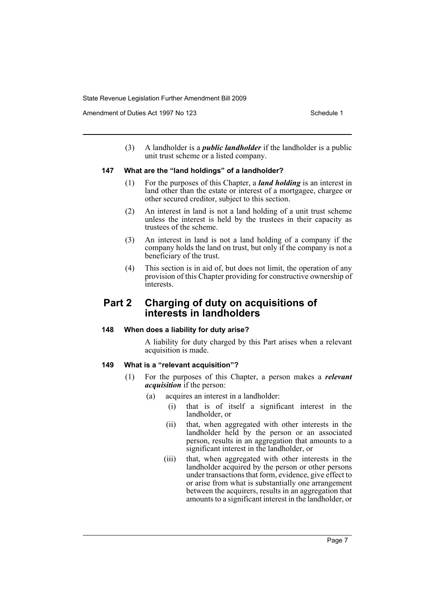Amendment of Duties Act 1997 No 123 Schedule 1

(3) A landholder is a *public landholder* if the landholder is a public unit trust scheme or a listed company.

## **147 What are the "land holdings" of a landholder?**

- (1) For the purposes of this Chapter, a *land holding* is an interest in land other than the estate or interest of a mortgagee, chargee or other secured creditor, subject to this section.
- (2) An interest in land is not a land holding of a unit trust scheme unless the interest is held by the trustees in their capacity as trustees of the scheme.
- (3) An interest in land is not a land holding of a company if the company holds the land on trust, but only if the company is not a beneficiary of the trust.
- (4) This section is in aid of, but does not limit, the operation of any provision of this Chapter providing for constructive ownership of interests.

# **Part 2 Charging of duty on acquisitions of interests in landholders**

# **148 When does a liability for duty arise?**

A liability for duty charged by this Part arises when a relevant acquisition is made.

# **149 What is a "relevant acquisition"?**

- (1) For the purposes of this Chapter, a person makes a *relevant acquisition* if the person:
	- (a) acquires an interest in a landholder:
		- (i) that is of itself a significant interest in the landholder, or
		- (ii) that, when aggregated with other interests in the landholder held by the person or an associated person, results in an aggregation that amounts to a significant interest in the landholder, or
		- (iii) that, when aggregated with other interests in the landholder acquired by the person or other persons under transactions that form, evidence, give effect to or arise from what is substantially one arrangement between the acquirers, results in an aggregation that amounts to a significant interest in the landholder, or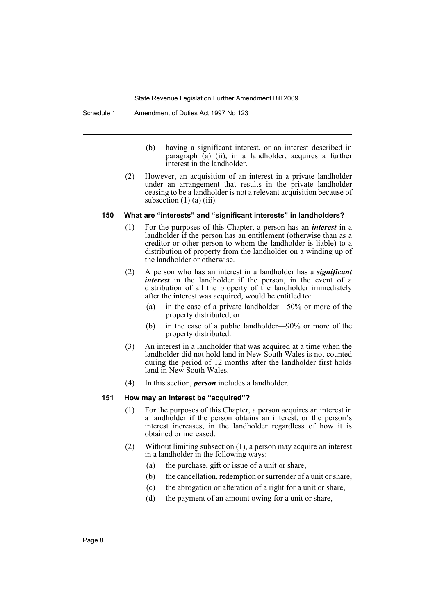- (b) having a significant interest, or an interest described in paragraph (a) (ii), in a landholder, acquires a further interest in the landholder.
- (2) However, an acquisition of an interest in a private landholder under an arrangement that results in the private landholder ceasing to be a landholder is not a relevant acquisition because of subsection  $(1)$   $(a)$   $(iii)$ .

#### **150 What are "interests" and "significant interests" in landholders?**

- (1) For the purposes of this Chapter, a person has an *interest* in a landholder if the person has an entitlement (otherwise than as a creditor or other person to whom the landholder is liable) to a distribution of property from the landholder on a winding up of the landholder or otherwise.
- (2) A person who has an interest in a landholder has a *significant interest* in the landholder if the person, in the event of a distribution of all the property of the landholder immediately after the interest was acquired, would be entitled to:
	- (a) in the case of a private landholder—50% or more of the property distributed, or
	- (b) in the case of a public landholder—90% or more of the property distributed.
- (3) An interest in a landholder that was acquired at a time when the landholder did not hold land in New South Wales is not counted during the period of 12 months after the landholder first holds land in New South Wales.
- (4) In this section, *person* includes a landholder.

#### **151 How may an interest be "acquired"?**

- (1) For the purposes of this Chapter, a person acquires an interest in a landholder if the person obtains an interest, or the person's interest increases, in the landholder regardless of how it is obtained or increased.
- (2) Without limiting subsection (1), a person may acquire an interest in a landholder in the following ways:
	- (a) the purchase, gift or issue of a unit or share,
	- (b) the cancellation, redemption or surrender of a unit or share,
	- (c) the abrogation or alteration of a right for a unit or share,
	- (d) the payment of an amount owing for a unit or share,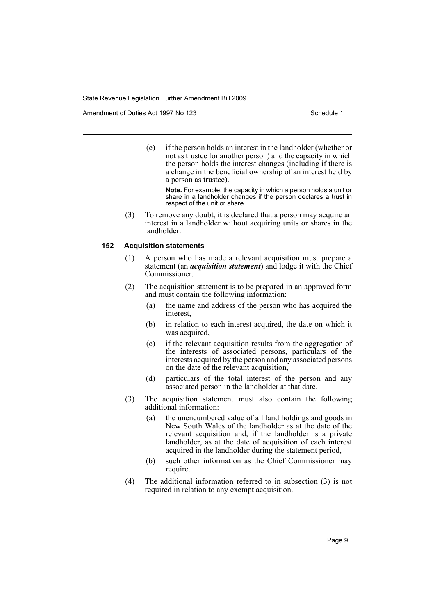Amendment of Duties Act 1997 No 123 Schedule 1

(e) if the person holds an interest in the landholder (whether or not as trustee for another person) and the capacity in which the person holds the interest changes (including if there is a change in the beneficial ownership of an interest held by a person as trustee).

**Note.** For example, the capacity in which a person holds a unit or share in a landholder changes if the person declares a trust in respect of the unit or share.

(3) To remove any doubt, it is declared that a person may acquire an interest in a landholder without acquiring units or shares in the landholder.

#### **152 Acquisition statements**

- (1) A person who has made a relevant acquisition must prepare a statement (an *acquisition statement*) and lodge it with the Chief Commissioner.
- (2) The acquisition statement is to be prepared in an approved form and must contain the following information:
	- (a) the name and address of the person who has acquired the interest,
	- (b) in relation to each interest acquired, the date on which it was acquired,
	- (c) if the relevant acquisition results from the aggregation of the interests of associated persons, particulars of the interests acquired by the person and any associated persons on the date of the relevant acquisition,
	- (d) particulars of the total interest of the person and any associated person in the landholder at that date.
- (3) The acquisition statement must also contain the following additional information:
	- (a) the unencumbered value of all land holdings and goods in New South Wales of the landholder as at the date of the relevant acquisition and, if the landholder is a private landholder, as at the date of acquisition of each interest acquired in the landholder during the statement period,
	- (b) such other information as the Chief Commissioner may require.
- (4) The additional information referred to in subsection (3) is not required in relation to any exempt acquisition.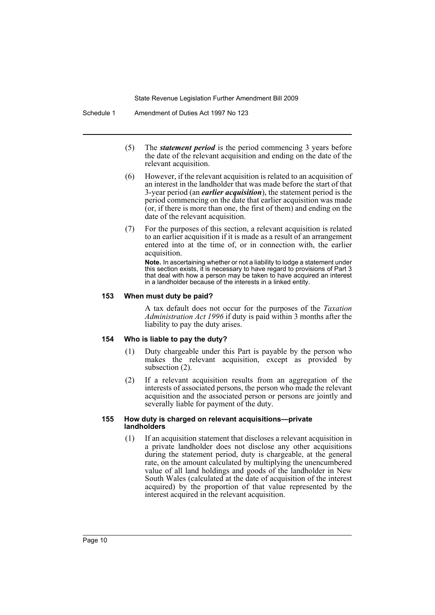- (5) The *statement period* is the period commencing 3 years before the date of the relevant acquisition and ending on the date of the relevant acquisition.
- (6) However, if the relevant acquisition is related to an acquisition of an interest in the landholder that was made before the start of that 3-year period (an *earlier acquisition*), the statement period is the period commencing on the date that earlier acquisition was made (or, if there is more than one, the first of them) and ending on the date of the relevant acquisition.
- (7) For the purposes of this section, a relevant acquisition is related to an earlier acquisition if it is made as a result of an arrangement entered into at the time of, or in connection with, the earlier acquisition.

**Note.** In ascertaining whether or not a liability to lodge a statement under this section exists, it is necessary to have regard to provisions of Part 3 that deal with how a person may be taken to have acquired an interest in a landholder because of the interests in a linked entity.

## **153 When must duty be paid?**

A tax default does not occur for the purposes of the *Taxation Administration Act 1996* if duty is paid within 3 months after the liability to pay the duty arises.

# **154 Who is liable to pay the duty?**

- (1) Duty chargeable under this Part is payable by the person who makes the relevant acquisition, except as provided by subsection (2).
- (2) If a relevant acquisition results from an aggregation of the interests of associated persons, the person who made the relevant acquisition and the associated person or persons are jointly and severally liable for payment of the duty.

#### **155 How duty is charged on relevant acquisitions—private landholders**

(1) If an acquisition statement that discloses a relevant acquisition in a private landholder does not disclose any other acquisitions during the statement period, duty is chargeable, at the general rate, on the amount calculated by multiplying the unencumbered value of all land holdings and goods of the landholder in New South Wales (calculated at the date of acquisition of the interest acquired) by the proportion of that value represented by the interest acquired in the relevant acquisition.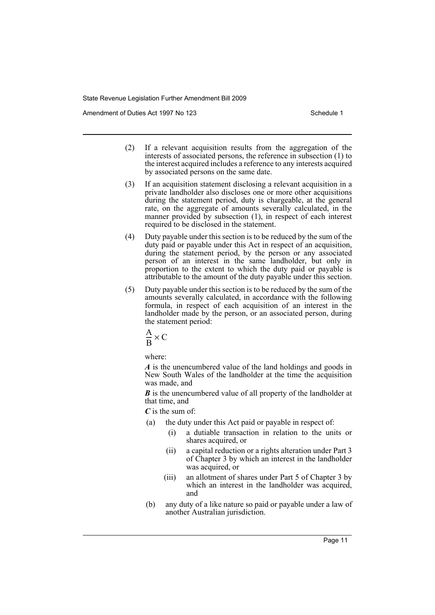Amendment of Duties Act 1997 No 123 Schedule 1

- (2) If a relevant acquisition results from the aggregation of the interests of associated persons, the reference in subsection (1) to the interest acquired includes a reference to any interests acquired by associated persons on the same date.
- (3) If an acquisition statement disclosing a relevant acquisition in a private landholder also discloses one or more other acquisitions during the statement period, duty is chargeable, at the general rate, on the aggregate of amounts severally calculated, in the manner provided by subsection (1), in respect of each interest required to be disclosed in the statement.
- (4) Duty payable under this section is to be reduced by the sum of the duty paid or payable under this Act in respect of an acquisition, during the statement period, by the person or any associated person of an interest in the same landholder, but only in proportion to the extent to which the duty paid or payable is attributable to the amount of the duty payable under this section.
- (5) Duty payable under this section is to be reduced by the sum of the amounts severally calculated, in accordance with the following formula, in respect of each acquisition of an interest in the landholder made by the person, or an associated person, during the statement period:

$$
\frac{A}{B} \times C
$$

where:

*A* is the unencumbered value of the land holdings and goods in New South Wales of the landholder at the time the acquisition was made, and

*B* is the unencumbered value of all property of the landholder at that time, and

*C* is the sum of:

- (a) the duty under this Act paid or payable in respect of:
	- (i) a dutiable transaction in relation to the units or shares acquired, or
	- (ii) a capital reduction or a rights alteration under Part 3 of Chapter 3 by which an interest in the landholder was acquired, or
	- (iii) an allotment of shares under Part 5 of Chapter 3 by which an interest in the landholder was acquired, and
- (b) any duty of a like nature so paid or payable under a law of another Australian jurisdiction.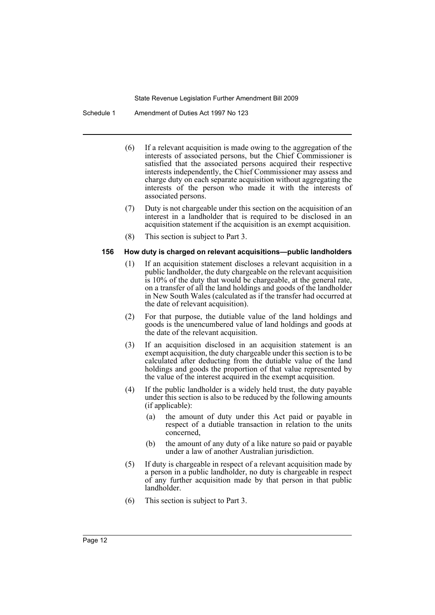Schedule 1 Amendment of Duties Act 1997 No 123

- (6) If a relevant acquisition is made owing to the aggregation of the interests of associated persons, but the Chief Commissioner is satisfied that the associated persons acquired their respective interests independently, the Chief Commissioner may assess and charge duty on each separate acquisition without aggregating the interests of the person who made it with the interests of associated persons.
- (7) Duty is not chargeable under this section on the acquisition of an interest in a landholder that is required to be disclosed in an acquisition statement if the acquisition is an exempt acquisition.
- (8) This section is subject to Part 3.

## **156 How duty is charged on relevant acquisitions—public landholders**

- (1) If an acquisition statement discloses a relevant acquisition in a public landholder, the duty chargeable on the relevant acquisition is 10% of the duty that would be chargeable, at the general rate, on a transfer of all the land holdings and goods of the landholder in New South Wales (calculated as if the transfer had occurred at the date of relevant acquisition).
- (2) For that purpose, the dutiable value of the land holdings and goods is the unencumbered value of land holdings and goods at the date of the relevant acquisition.
- (3) If an acquisition disclosed in an acquisition statement is an exempt acquisition, the duty chargeable under this section is to be calculated after deducting from the dutiable value of the land holdings and goods the proportion of that value represented by the value of the interest acquired in the exempt acquisition.
- (4) If the public landholder is a widely held trust, the duty payable under this section is also to be reduced by the following amounts (if applicable):
	- (a) the amount of duty under this Act paid or payable in respect of a dutiable transaction in relation to the units concerned,
	- (b) the amount of any duty of a like nature so paid or payable under a law of another Australian jurisdiction.
- (5) If duty is chargeable in respect of a relevant acquisition made by a person in a public landholder, no duty is chargeable in respect of any further acquisition made by that person in that public landholder.
- (6) This section is subject to Part 3.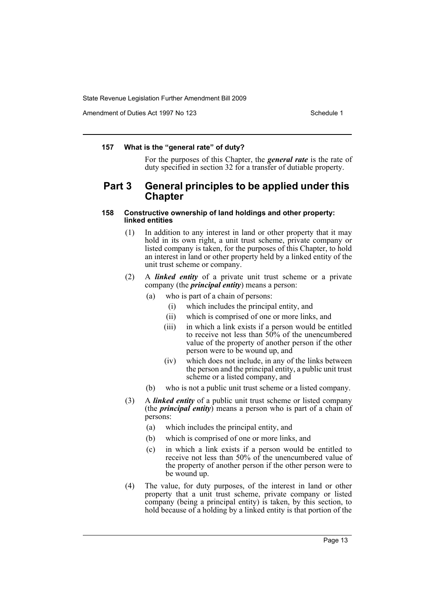Amendment of Duties Act 1997 No 123 Schedule 1

#### **157 What is the "general rate" of duty?**

For the purposes of this Chapter, the *general rate* is the rate of duty specified in section 32 for a transfer of dutiable property.

# **Part 3 General principles to be applied under this Chapter**

#### **158 Constructive ownership of land holdings and other property: linked entities**

- (1) In addition to any interest in land or other property that it may hold in its own right, a unit trust scheme, private company or listed company is taken, for the purposes of this Chapter, to hold an interest in land or other property held by a linked entity of the unit trust scheme or company.
- (2) A *linked entity* of a private unit trust scheme or a private company (the *principal entity*) means a person:
	- (a) who is part of a chain of persons:
		- (i) which includes the principal entity, and
		- (ii) which is comprised of one or more links, and
		- (iii) in which a link exists if a person would be entitled to receive not less than 50% of the unencumbered value of the property of another person if the other person were to be wound up, and
		- (iv) which does not include, in any of the links between the person and the principal entity, a public unit trust scheme or a listed company, and
	- (b) who is not a public unit trust scheme or a listed company.
- (3) A *linked entity* of a public unit trust scheme or listed company (the *principal entity*) means a person who is part of a chain of persons:
	- (a) which includes the principal entity, and
	- (b) which is comprised of one or more links, and
	- (c) in which a link exists if a person would be entitled to receive not less than 50% of the unencumbered value of the property of another person if the other person were to be wound up.
- (4) The value, for duty purposes, of the interest in land or other property that a unit trust scheme, private company or listed company (being a principal entity) is taken, by this section, to hold because of a holding by a linked entity is that portion of the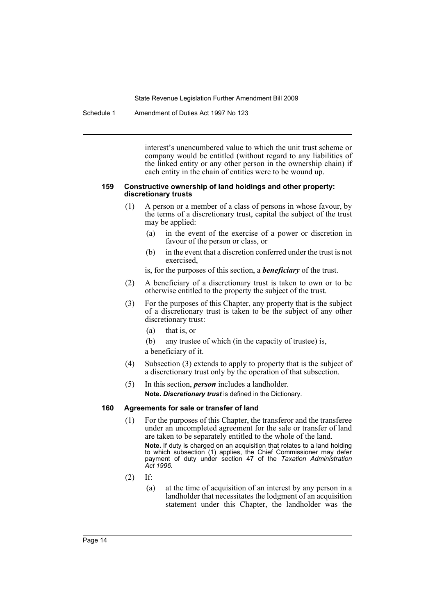Schedule 1 Amendment of Duties Act 1997 No 123

interest's unencumbered value to which the unit trust scheme or company would be entitled (without regard to any liabilities of the linked entity or any other person in the ownership chain) if each entity in the chain of entities were to be wound up.

#### **159 Constructive ownership of land holdings and other property: discretionary trusts**

- (1) A person or a member of a class of persons in whose favour, by the terms of a discretionary trust, capital the subject of the trust may be applied:
	- (a) in the event of the exercise of a power or discretion in favour of the person or class, or
	- (b) in the event that a discretion conferred under the trust is not exercised,
	- is, for the purposes of this section, a *beneficiary* of the trust.
- (2) A beneficiary of a discretionary trust is taken to own or to be otherwise entitled to the property the subject of the trust.
- (3) For the purposes of this Chapter, any property that is the subject of a discretionary trust is taken to be the subject of any other discretionary trust:
	- (a) that is, or
	- (b) any trustee of which (in the capacity of trustee) is, a beneficiary of it.
- (4) Subsection (3) extends to apply to property that is the subject of a discretionary trust only by the operation of that subsection.
- (5) In this section, *person* includes a landholder. **Note.** *Discretionary trust* is defined in the Dictionary.

# **160 Agreements for sale or transfer of land**

- (1) For the purposes of this Chapter, the transferor and the transferee under an uncompleted agreement for the sale or transfer of land are taken to be separately entitled to the whole of the land. **Note.** If duty is charged on an acquisition that relates to a land holding to which subsection (1) applies, the Chief Commissioner may defer payment of duty under section 47 of the *Taxation Administration Act 1996*.
- (2) If:
	- (a) at the time of acquisition of an interest by any person in a landholder that necessitates the lodgment of an acquisition statement under this Chapter, the landholder was the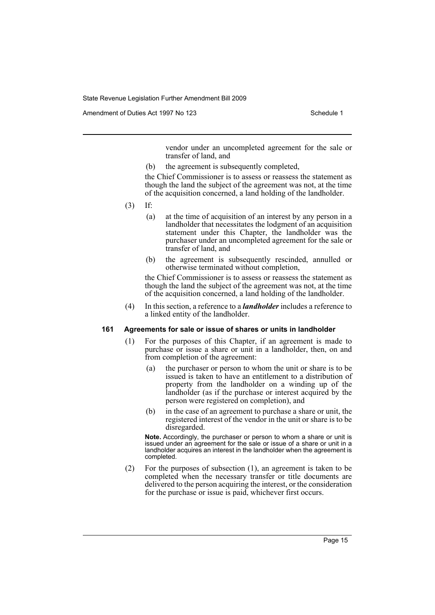Amendment of Duties Act 1997 No 123 Schedule 1

vendor under an uncompleted agreement for the sale or transfer of land, and

(b) the agreement is subsequently completed,

the Chief Commissioner is to assess or reassess the statement as though the land the subject of the agreement was not, at the time of the acquisition concerned, a land holding of the landholder.

- (3) If:
	- (a) at the time of acquisition of an interest by any person in a landholder that necessitates the lodgment of an acquisition statement under this Chapter, the landholder was the purchaser under an uncompleted agreement for the sale or transfer of land, and
	- (b) the agreement is subsequently rescinded, annulled or otherwise terminated without completion,

the Chief Commissioner is to assess or reassess the statement as though the land the subject of the agreement was not, at the time of the acquisition concerned, a land holding of the landholder.

(4) In this section, a reference to a *landholder* includes a reference to a linked entity of the landholder.

## **161 Agreements for sale or issue of shares or units in landholder**

- (1) For the purposes of this Chapter, if an agreement is made to purchase or issue a share or unit in a landholder, then, on and from completion of the agreement:
	- (a) the purchaser or person to whom the unit or share is to be issued is taken to have an entitlement to a distribution of property from the landholder on a winding up of the landholder (as if the purchase or interest acquired by the person were registered on completion), and
	- (b) in the case of an agreement to purchase a share or unit, the registered interest of the vendor in the unit or share is to be disregarded.

**Note.** Accordingly, the purchaser or person to whom a share or unit is issued under an agreement for the sale or issue of a share or unit in a landholder acquires an interest in the landholder when the agreement is completed.

(2) For the purposes of subsection (1), an agreement is taken to be completed when the necessary transfer or title documents are delivered to the person acquiring the interest, or the consideration for the purchase or issue is paid, whichever first occurs.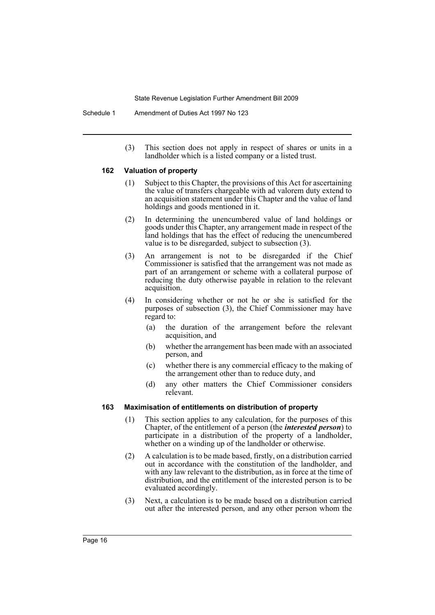Schedule 1 Amendment of Duties Act 1997 No 123

(3) This section does not apply in respect of shares or units in a landholder which is a listed company or a listed trust.

#### **162 Valuation of property**

- (1) Subject to this Chapter, the provisions of this Act for ascertaining the value of transfers chargeable with ad valorem duty extend to an acquisition statement under this Chapter and the value of land holdings and goods mentioned in it.
- (2) In determining the unencumbered value of land holdings or goods under this Chapter, any arrangement made in respect of the land holdings that has the effect of reducing the unencumbered value is to be disregarded, subject to subsection (3).
- (3) An arrangement is not to be disregarded if the Chief Commissioner is satisfied that the arrangement was not made as part of an arrangement or scheme with a collateral purpose of reducing the duty otherwise payable in relation to the relevant acquisition.
- (4) In considering whether or not he or she is satisfied for the purposes of subsection (3), the Chief Commissioner may have regard to:
	- (a) the duration of the arrangement before the relevant acquisition, and
	- (b) whether the arrangement has been made with an associated person, and
	- (c) whether there is any commercial efficacy to the making of the arrangement other than to reduce duty, and
	- (d) any other matters the Chief Commissioner considers relevant.

# **163 Maximisation of entitlements on distribution of property**

- (1) This section applies to any calculation, for the purposes of this Chapter, of the entitlement of a person (the *interested person*) to participate in a distribution of the property of a landholder, whether on a winding up of the landholder or otherwise.
- (2) A calculation is to be made based, firstly, on a distribution carried out in accordance with the constitution of the landholder, and with any law relevant to the distribution, as in force at the time of distribution, and the entitlement of the interested person is to be evaluated accordingly.
- (3) Next, a calculation is to be made based on a distribution carried out after the interested person, and any other person whom the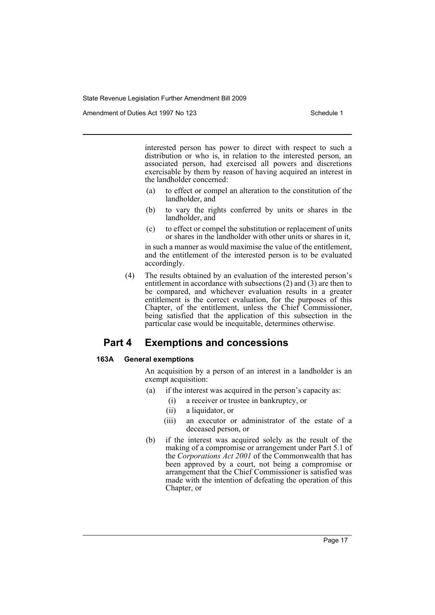Amendment of Duties Act 1997 No 123 Schedule 1

interested person has power to direct with respect to such a distribution or who is, in relation to the interested person, an associated person, had exercised all powers and discretions exercisable by them by reason of having acquired an interest in the landholder concerned:

- (a) to effect or compel an alteration to the constitution of the landholder, and
- (b) to vary the rights conferred by units or shares in the landholder, and
- (c) to effect or compel the substitution or replacement of units or shares in the landholder with other units or shares in it,

in such a manner as would maximise the value of the entitlement, and the entitlement of the interested person is to be evaluated accordingly.

(4) The results obtained by an evaluation of the interested person's entitlement in accordance with subsections (2) and (3) are then to be compared, and whichever evaluation results in a greater entitlement is the correct evaluation, for the purposes of this Chapter, of the entitlement, unless the Chief Commissioner, being satisfied that the application of this subsection in the particular case would be inequitable, determines otherwise.

# **Part 4 Exemptions and concessions**

#### **163A General exemptions**

An acquisition by a person of an interest in a landholder is an exempt acquisition:

- (a) if the interest was acquired in the person's capacity as:
	- (i) a receiver or trustee in bankruptcy, or
	- (ii) a liquidator, or
	- (iii) an executor or administrator of the estate of a deceased person, or
- (b) if the interest was acquired solely as the result of the making of a compromise or arrangement under Part 5.1 of the *Corporations Act 2001* of the Commonwealth that has been approved by a court, not being a compromise or arrangement that the Chief Commissioner is satisfied was made with the intention of defeating the operation of this Chapter, or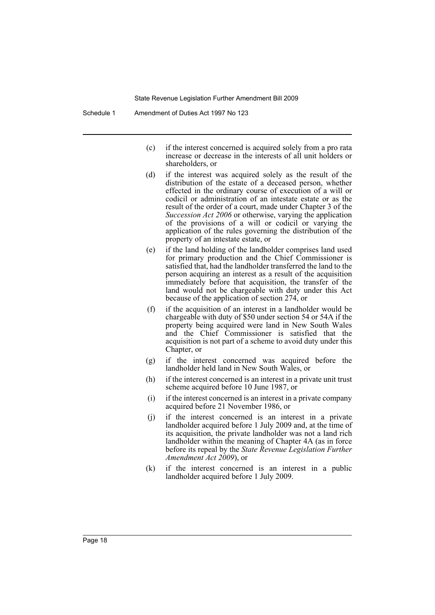- (c) if the interest concerned is acquired solely from a pro rata increase or decrease in the interests of all unit holders or shareholders, or
- (d) if the interest was acquired solely as the result of the distribution of the estate of a deceased person, whether effected in the ordinary course of execution of a will or codicil or administration of an intestate estate or as the result of the order of a court, made under Chapter 3 of the *Succession Act 2006* or otherwise, varying the application of the provisions of a will or codicil or varying the application of the rules governing the distribution of the property of an intestate estate, or
- (e) if the land holding of the landholder comprises land used for primary production and the Chief Commissioner is satisfied that, had the landholder transferred the land to the person acquiring an interest as a result of the acquisition immediately before that acquisition, the transfer of the land would not be chargeable with duty under this Act because of the application of section 274, or
- (f) if the acquisition of an interest in a landholder would be chargeable with duty of \$50 under section 54 or 54A if the property being acquired were land in New South Wales and the Chief Commissioner is satisfied that the acquisition is not part of a scheme to avoid duty under this Chapter, or
- (g) if the interest concerned was acquired before the landholder held land in New South Wales, or
- (h) if the interest concerned is an interest in a private unit trust scheme acquired before 10 June 1987, or
- (i) if the interest concerned is an interest in a private company acquired before 21 November 1986, or
- (j) if the interest concerned is an interest in a private landholder acquired before 1 July 2009 and, at the time of its acquisition, the private landholder was not a land rich landholder within the meaning of Chapter 4A (as in force before its repeal by the *State Revenue Legislation Further Amendment Act 2009*), or
- (k) if the interest concerned is an interest in a public landholder acquired before 1 July 2009.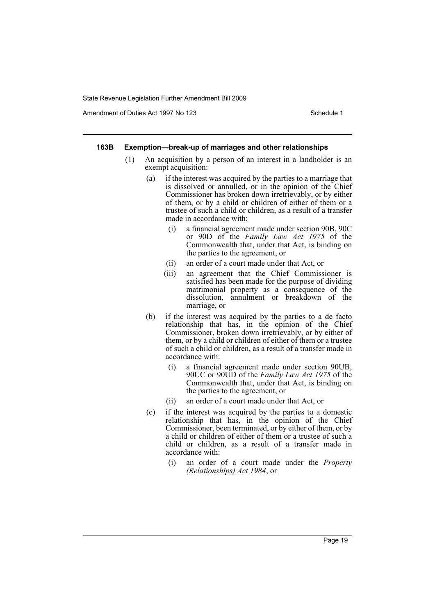Amendment of Duties Act 1997 No 123 Schedule 1

#### **163B Exemption—break-up of marriages and other relationships**

- (1) An acquisition by a person of an interest in a landholder is an exempt acquisition:
	- (a) if the interest was acquired by the parties to a marriage that is dissolved or annulled, or in the opinion of the Chief Commissioner has broken down irretrievably, or by either of them, or by a child or children of either of them or a trustee of such a child or children, as a result of a transfer made in accordance with:
		- (i) a financial agreement made under section 90B, 90C or 90D of the *Family Law Act 1975* of the Commonwealth that, under that Act, is binding on the parties to the agreement, or
		- (ii) an order of a court made under that Act, or
		- (iii) an agreement that the Chief Commissioner is satisfied has been made for the purpose of dividing matrimonial property as a consequence of the dissolution, annulment or breakdown of the marriage, or
	- (b) if the interest was acquired by the parties to a de facto relationship that has, in the opinion of the Chief Commissioner, broken down irretrievably, or by either of them, or by a child or children of either of them or a trustee of such a child or children, as a result of a transfer made in accordance with:
		- (i) a financial agreement made under section 90UB, 90UC or 90UD of the *Family Law Act 1975* of the Commonwealth that, under that Act, is binding on the parties to the agreement, or
		- (ii) an order of a court made under that Act, or
	- (c) if the interest was acquired by the parties to a domestic relationship that has, in the opinion of the Chief Commissioner, been terminated, or by either of them, or by a child or children of either of them or a trustee of such a child or children, as a result of a transfer made in accordance with:
		- (i) an order of a court made under the *Property (Relationships) Act 1984*, or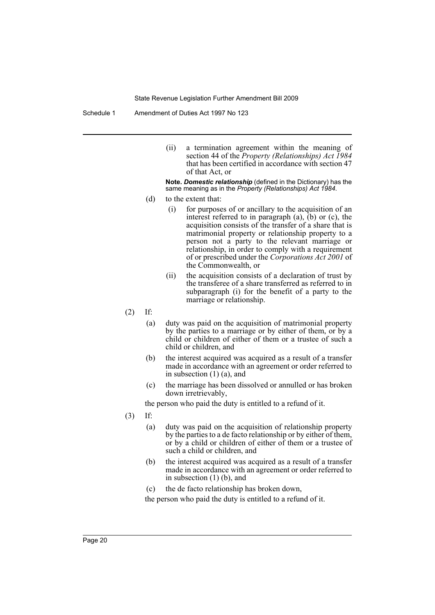Schedule 1 Amendment of Duties Act 1997 No 123

(ii) a termination agreement within the meaning of section 44 of the *Property (Relationships) Act 1984* that has been certified in accordance with section 47 of that Act, or

**Note.** *Domestic relationship* (defined in the Dictionary) has the same meaning as in the *Property (Relationships) Act 1984*.

- (d) to the extent that:
	- (i) for purposes of or ancillary to the acquisition of an interest referred to in paragraph (a), (b) or (c), the acquisition consists of the transfer of a share that is matrimonial property or relationship property to a person not a party to the relevant marriage or relationship, in order to comply with a requirement of or prescribed under the *Corporations Act 2001* of the Commonwealth, or
	- (ii) the acquisition consists of a declaration of trust by the transferee of a share transferred as referred to in subparagraph (i) for the benefit of a party to the marriage or relationship.
- (2) If:
	- (a) duty was paid on the acquisition of matrimonial property by the parties to a marriage or by either of them, or by a child or children of either of them or a trustee of such a child or children, and
	- (b) the interest acquired was acquired as a result of a transfer made in accordance with an agreement or order referred to in subsection (1) (a), and
	- (c) the marriage has been dissolved or annulled or has broken down irretrievably,

the person who paid the duty is entitled to a refund of it.

- (3) If:
	- (a) duty was paid on the acquisition of relationship property by the parties to a de facto relationship or by either of them, or by a child or children of either of them or a trustee of such a child or children, and
	- (b) the interest acquired was acquired as a result of a transfer made in accordance with an agreement or order referred to in subsection (1) (b), and
	- (c) the de facto relationship has broken down,

the person who paid the duty is entitled to a refund of it.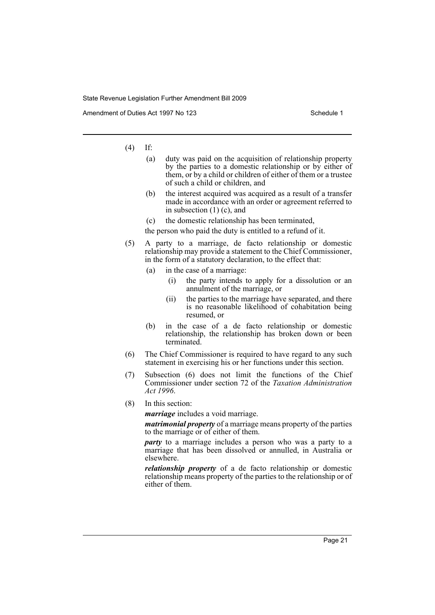Amendment of Duties Act 1997 No 123 Schedule 1

(4) If:

- (a) duty was paid on the acquisition of relationship property by the parties to a domestic relationship or by either of them, or by a child or children of either of them or a trustee of such a child or children, and
- (b) the interest acquired was acquired as a result of a transfer made in accordance with an order or agreement referred to in subsection (1) (c), and
- (c) the domestic relationship has been terminated,

the person who paid the duty is entitled to a refund of it.

- (5) A party to a marriage, de facto relationship or domestic relationship may provide a statement to the Chief Commissioner, in the form of a statutory declaration, to the effect that:
	- (a) in the case of a marriage:
		- (i) the party intends to apply for a dissolution or an annulment of the marriage, or
		- (ii) the parties to the marriage have separated, and there is no reasonable likelihood of cohabitation being resumed, or
	- (b) in the case of a de facto relationship or domestic relationship, the relationship has broken down or been terminated.
- (6) The Chief Commissioner is required to have regard to any such statement in exercising his or her functions under this section.
- (7) Subsection (6) does not limit the functions of the Chief Commissioner under section 72 of the *Taxation Administration Act 1996*.
- (8) In this section:

*marriage* includes a void marriage.

*matrimonial property* of a marriage means property of the parties to the marriage or of either of them.

*party* to a marriage includes a person who was a party to a marriage that has been dissolved or annulled, in Australia or elsewhere.

*relationship property* of a de facto relationship or domestic relationship means property of the parties to the relationship or of either of them.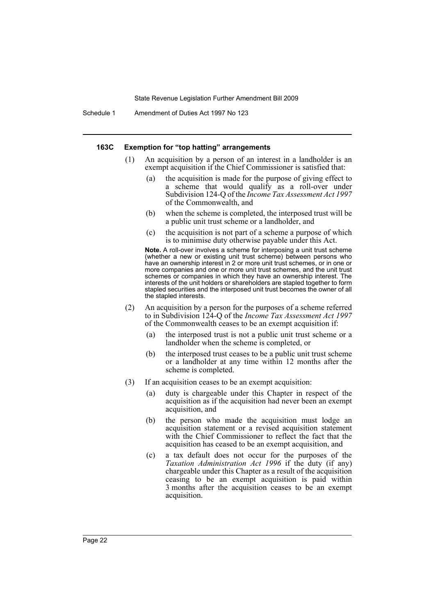Schedule 1 Amendment of Duties Act 1997 No 123

#### **163C Exemption for "top hatting" arrangements**

- (1) An acquisition by a person of an interest in a landholder is an exempt acquisition if the Chief Commissioner is satisfied that:
	- (a) the acquisition is made for the purpose of giving effect to a scheme that would qualify as a roll-over under Subdivision 124-Q of the *Income Tax Assessment Act 1997* of the Commonwealth, and
	- (b) when the scheme is completed, the interposed trust will be a public unit trust scheme or a landholder, and
	- (c) the acquisition is not part of a scheme a purpose of which is to minimise duty otherwise payable under this Act.

**Note.** A roll-over involves a scheme for interposing a unit trust scheme (whether a new or existing unit trust scheme) between persons who have an ownership interest in 2 or more unit trust schemes, or in one or more companies and one or more unit trust schemes, and the unit trust schemes or companies in which they have an ownership interest. The interests of the unit holders or shareholders are stapled together to form stapled securities and the interposed unit trust becomes the owner of all the stapled interests.

- (2) An acquisition by a person for the purposes of a scheme referred to in Subdivision 124-Q of the *Income Tax Assessment Act 1997* of the Commonwealth ceases to be an exempt acquisition if:
	- (a) the interposed trust is not a public unit trust scheme or a landholder when the scheme is completed, or
	- (b) the interposed trust ceases to be a public unit trust scheme or a landholder at any time within 12 months after the scheme is completed.
- (3) If an acquisition ceases to be an exempt acquisition:
	- (a) duty is chargeable under this Chapter in respect of the acquisition as if the acquisition had never been an exempt acquisition, and
	- (b) the person who made the acquisition must lodge an acquisition statement or a revised acquisition statement with the Chief Commissioner to reflect the fact that the acquisition has ceased to be an exempt acquisition, and
	- (c) a tax default does not occur for the purposes of the *Taxation Administration Act 1996* if the duty (if any) chargeable under this Chapter as a result of the acquisition ceasing to be an exempt acquisition is paid within 3 months after the acquisition ceases to be an exempt acquisition.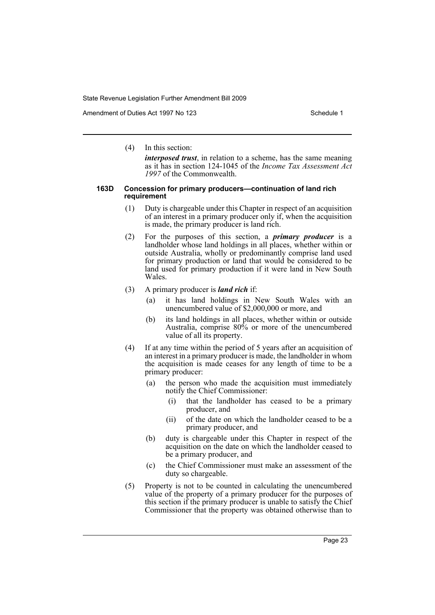Amendment of Duties Act 1997 No 123 Schedule 1

(4) In this section:

*interposed trust*, in relation to a scheme, has the same meaning as it has in section 124-1045 of the *Income Tax Assessment Act 1997* of the Commonwealth.

#### **163D Concession for primary producers—continuation of land rich requirement**

- (1) Duty is chargeable under this Chapter in respect of an acquisition of an interest in a primary producer only if, when the acquisition is made, the primary producer is land rich.
- (2) For the purposes of this section, a *primary producer* is a landholder whose land holdings in all places, whether within or outside Australia, wholly or predominantly comprise land used for primary production or land that would be considered to be land used for primary production if it were land in New South **Wales**
- (3) A primary producer is *land rich* if:
	- (a) it has land holdings in New South Wales with an unencumbered value of \$2,000,000 or more, and
	- (b) its land holdings in all places, whether within or outside Australia, comprise 80% or more of the unencumbered value of all its property.
- (4) If at any time within the period of 5 years after an acquisition of an interest in a primary producer is made, the landholder in whom the acquisition is made ceases for any length of time to be a primary producer:
	- (a) the person who made the acquisition must immediately notify the Chief Commissioner:
		- (i) that the landholder has ceased to be a primary producer, and
		- (ii) of the date on which the landholder ceased to be a primary producer, and
	- (b) duty is chargeable under this Chapter in respect of the acquisition on the date on which the landholder ceased to be a primary producer, and
	- (c) the Chief Commissioner must make an assessment of the duty so chargeable.
- (5) Property is not to be counted in calculating the unencumbered value of the property of a primary producer for the purposes of this section if the primary producer is unable to satisfy the Chief Commissioner that the property was obtained otherwise than to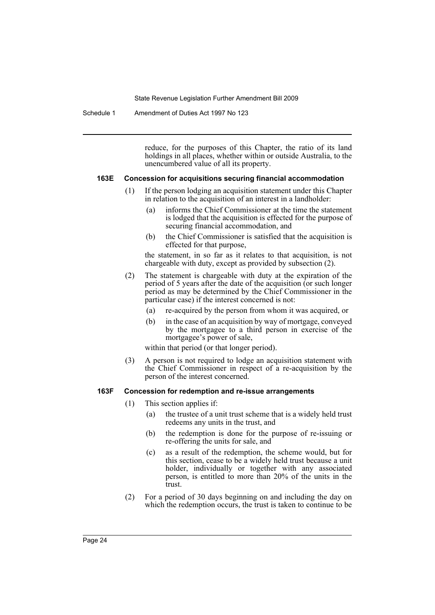Schedule 1 Amendment of Duties Act 1997 No 123

reduce, for the purposes of this Chapter, the ratio of its land holdings in all places, whether within or outside Australia, to the unencumbered value of all its property.

#### **163E Concession for acquisitions securing financial accommodation**

- (1) If the person lodging an acquisition statement under this Chapter in relation to the acquisition of an interest in a landholder:
	- (a) informs the Chief Commissioner at the time the statement is lodged that the acquisition is effected for the purpose of securing financial accommodation, and
	- (b) the Chief Commissioner is satisfied that the acquisition is effected for that purpose,

the statement, in so far as it relates to that acquisition, is not chargeable with duty, except as provided by subsection (2).

- (2) The statement is chargeable with duty at the expiration of the period of 5 years after the date of the acquisition (or such longer period as may be determined by the Chief Commissioner in the particular case) if the interest concerned is not:
	- (a) re-acquired by the person from whom it was acquired, or
	- (b) in the case of an acquisition by way of mortgage, conveyed by the mortgagee to a third person in exercise of the mortgagee's power of sale,

within that period (or that longer period).

(3) A person is not required to lodge an acquisition statement with the Chief Commissioner in respect of a re-acquisition by the person of the interest concerned.

#### **163F Concession for redemption and re-issue arrangements**

- (1) This section applies if:
	- (a) the trustee of a unit trust scheme that is a widely held trust redeems any units in the trust, and
	- (b) the redemption is done for the purpose of re-issuing or re-offering the units for sale, and
	- (c) as a result of the redemption, the scheme would, but for this section, cease to be a widely held trust because a unit holder, individually or together with any associated person, is entitled to more than 20% of the units in the trust.
- (2) For a period of 30 days beginning on and including the day on which the redemption occurs, the trust is taken to continue to be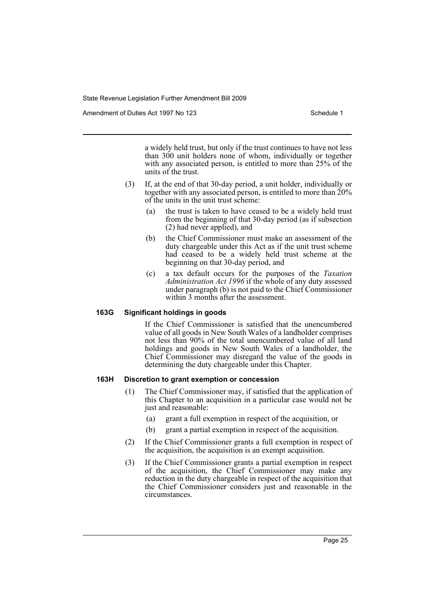Amendment of Duties Act 1997 No 123 Schedule 1

a widely held trust, but only if the trust continues to have not less than 300 unit holders none of whom, individually or together with any associated person, is entitled to more than 25% of the units of the trust.

- (3) If, at the end of that 30-day period, a unit holder, individually or together with any associated person, is entitled to more than 20% of the units in the unit trust scheme:
	- (a) the trust is taken to have ceased to be a widely held trust from the beginning of that 30-day period (as if subsection (2) had never applied), and
	- (b) the Chief Commissioner must make an assessment of the duty chargeable under this Act as if the unit trust scheme had ceased to be a widely held trust scheme at the beginning on that 30-day period, and
	- (c) a tax default occurs for the purposes of the *Taxation Administration Act 1996* if the whole of any duty assessed under paragraph (b) is not paid to the Chief Commissioner within 3 months after the assessment.

#### **163G Significant holdings in goods**

If the Chief Commissioner is satisfied that the unencumbered value of all goods in New South Wales of a landholder comprises not less than 90% of the total unencumbered value of all land holdings and goods in New South Wales of a landholder, the Chief Commissioner may disregard the value of the goods in determining the duty chargeable under this Chapter.

# **163H Discretion to grant exemption or concession**

- (1) The Chief Commissioner may, if satisfied that the application of this Chapter to an acquisition in a particular case would not be just and reasonable:
	- (a) grant a full exemption in respect of the acquisition, or
	- (b) grant a partial exemption in respect of the acquisition.
- (2) If the Chief Commissioner grants a full exemption in respect of the acquisition, the acquisition is an exempt acquisition.
- (3) If the Chief Commissioner grants a partial exemption in respect of the acquisition, the Chief Commissioner may make any reduction in the duty chargeable in respect of the acquisition that the Chief Commissioner considers just and reasonable in the circumstances.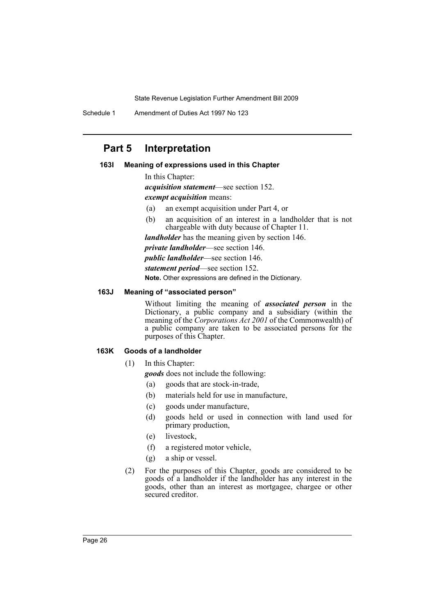Schedule 1 Amendment of Duties Act 1997 No 123

# **Part 5 Interpretation**

## **163I Meaning of expressions used in this Chapter**

In this Chapter:

*acquisition statement*—see section 152.

*exempt acquisition* means:

- (a) an exempt acquisition under Part 4, or
- (b) an acquisition of an interest in a landholder that is not chargeable with duty because of Chapter 11.

*landholder* has the meaning given by section 146.

*private landholder*—see section 146.

*public landholder*—see section 146.

*statement period*—see section 152.

**Note.** Other expressions are defined in the Dictionary.

# **163J Meaning of "associated person"**

Without limiting the meaning of *associated person* in the Dictionary, a public company and a subsidiary (within the meaning of the *Corporations Act 2001* of the Commonwealth) of a public company are taken to be associated persons for the purposes of this Chapter.

#### **163K Goods of a landholder**

(1) In this Chapter:

*goods* does not include the following:

- (a) goods that are stock-in-trade,
- (b) materials held for use in manufacture,
- (c) goods under manufacture,
- (d) goods held or used in connection with land used for primary production,
- (e) livestock,
- (f) a registered motor vehicle,
- (g) a ship or vessel.
- (2) For the purposes of this Chapter, goods are considered to be goods of a landholder if the landholder has any interest in the goods, other than an interest as mortgagee, chargee or other secured creditor.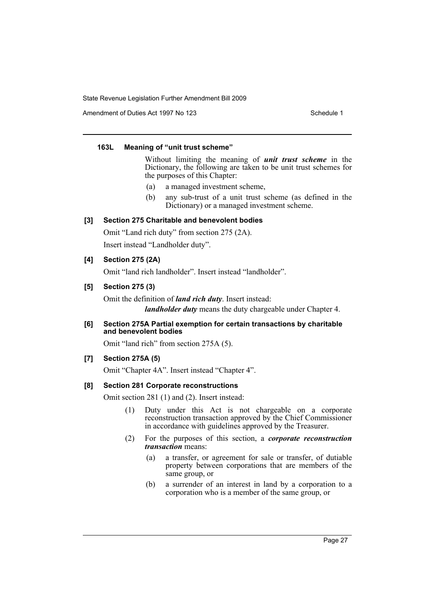Amendment of Duties Act 1997 No 123 Schedule 1

# **163L Meaning of "unit trust scheme"**

Without limiting the meaning of *unit trust scheme* in the Dictionary, the following are taken to be unit trust schemes for the purposes of this Chapter:

- (a) a managed investment scheme,
- (b) any sub-trust of a unit trust scheme (as defined in the Dictionary) or a managed investment scheme.

# **[3] Section 275 Charitable and benevolent bodies**

Omit "Land rich duty" from section 275 (2A).

Insert instead "Landholder duty".

# **[4] Section 275 (2A)**

Omit "land rich landholder". Insert instead "landholder".

# **[5] Section 275 (3)**

Omit the definition of *land rich duty*. Insert instead: *landholder duty* means the duty chargeable under Chapter 4.

**[6] Section 275A Partial exemption for certain transactions by charitable and benevolent bodies**

Omit "land rich" from section 275A (5).

# **[7] Section 275A (5)**

Omit "Chapter 4A". Insert instead "Chapter 4".

# **[8] Section 281 Corporate reconstructions**

Omit section 281 (1) and (2). Insert instead:

- (1) Duty under this Act is not chargeable on a corporate reconstruction transaction approved by the Chief Commissioner in accordance with guidelines approved by the Treasurer.
- (2) For the purposes of this section, a *corporate reconstruction transaction* means:
	- (a) a transfer, or agreement for sale or transfer, of dutiable property between corporations that are members of the same group, or
	- (b) a surrender of an interest in land by a corporation to a corporation who is a member of the same group, or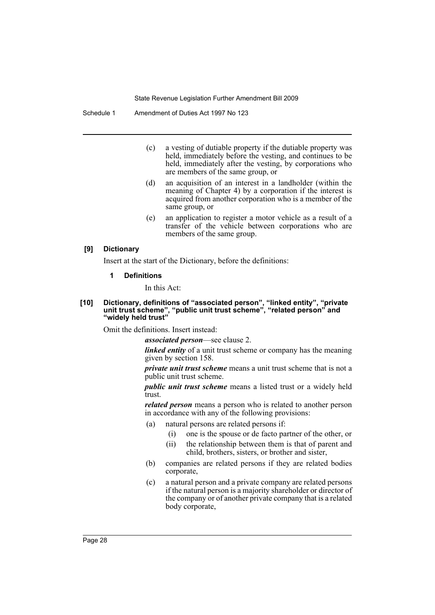- (c) a vesting of dutiable property if the dutiable property was held, immediately before the vesting, and continues to be held, immediately after the vesting, by corporations who are members of the same group, or
- (d) an acquisition of an interest in a landholder (within the meaning of Chapter 4) by a corporation if the interest is acquired from another corporation who is a member of the same group, or
- (e) an application to register a motor vehicle as a result of a transfer of the vehicle between corporations who are members of the same group.

#### **[9] Dictionary**

Insert at the start of the Dictionary, before the definitions:

#### **1 Definitions**

In this Act:

#### **[10] Dictionary, definitions of "associated person", "linked entity", "private unit trust scheme", "public unit trust scheme", "related person" and "widely held trust"**

Omit the definitions. Insert instead:

*associated person*—see clause 2.

*linked entity* of a unit trust scheme or company has the meaning given by section 158.

*private unit trust scheme* means a unit trust scheme that is not a public unit trust scheme.

*public unit trust scheme* means a listed trust or a widely held trust.

*related person* means a person who is related to another person in accordance with any of the following provisions:

- (a) natural persons are related persons if:
	- (i) one is the spouse or de facto partner of the other, or
	- (ii) the relationship between them is that of parent and
	- child, brothers, sisters, or brother and sister,
- (b) companies are related persons if they are related bodies corporate,
- (c) a natural person and a private company are related persons if the natural person is a majority shareholder or director of the company or of another private company that is a related body corporate,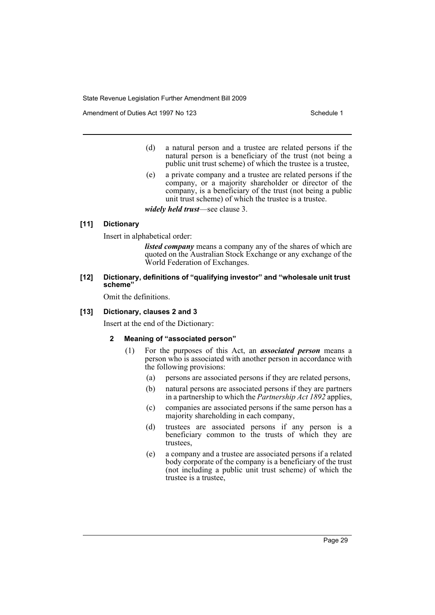Amendment of Duties Act 1997 No 123 Schedule 1

- (d) a natural person and a trustee are related persons if the natural person is a beneficiary of the trust (not being a public unit trust scheme) of which the trustee is a trustee,
- (e) a private company and a trustee are related persons if the company, or a majority shareholder or director of the company, is a beneficiary of the trust (not being a public unit trust scheme) of which the trustee is a trustee.

*widely held trust*—see clause 3.

#### **[11] Dictionary**

Insert in alphabetical order:

*listed company* means a company any of the shares of which are quoted on the Australian Stock Exchange or any exchange of the World Federation of Exchanges.

#### **[12] Dictionary, definitions of "qualifying investor" and "wholesale unit trust scheme"**

Omit the definitions.

#### **[13] Dictionary, clauses 2 and 3**

Insert at the end of the Dictionary:

#### **2 Meaning of "associated person"**

- (1) For the purposes of this Act, an *associated person* means a person who is associated with another person in accordance with the following provisions:
	- (a) persons are associated persons if they are related persons,
	- (b) natural persons are associated persons if they are partners in a partnership to which the *Partnership Act 1892* applies,
	- (c) companies are associated persons if the same person has a majority shareholding in each company,
	- (d) trustees are associated persons if any person is a beneficiary common to the trusts of which they are trustees,
	- (e) a company and a trustee are associated persons if a related body corporate of the company is a beneficiary of the trust (not including a public unit trust scheme) of which the trustee is a trustee,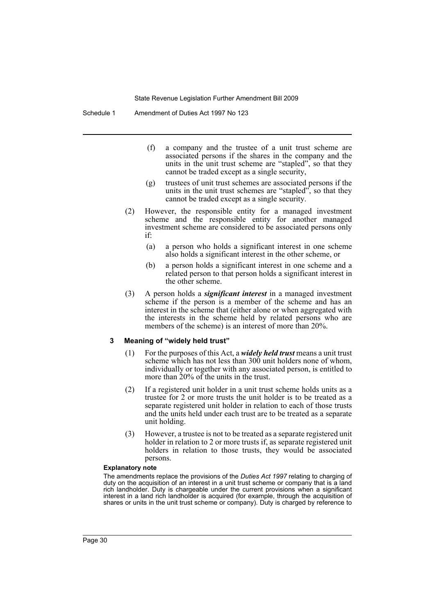- (f) a company and the trustee of a unit trust scheme are associated persons if the shares in the company and the units in the unit trust scheme are "stapled", so that they cannot be traded except as a single security,
- (g) trustees of unit trust schemes are associated persons if the units in the unit trust schemes are "stapled", so that they cannot be traded except as a single security.
- (2) However, the responsible entity for a managed investment scheme and the responsible entity for another managed investment scheme are considered to be associated persons only if:
	- (a) a person who holds a significant interest in one scheme also holds a significant interest in the other scheme, or
	- (b) a person holds a significant interest in one scheme and a related person to that person holds a significant interest in the other scheme.
- (3) A person holds a *significant interest* in a managed investment scheme if the person is a member of the scheme and has an interest in the scheme that (either alone or when aggregated with the interests in the scheme held by related persons who are members of the scheme) is an interest of more than 20%.

#### **3 Meaning of "widely held trust"**

- (1) For the purposes of this Act, a *widely held trust* means a unit trust scheme which has not less than 300 unit holders none of whom, individually or together with any associated person, is entitled to more than 20% of the units in the trust.
- (2) If a registered unit holder in a unit trust scheme holds units as a trustee for 2 or more trusts the unit holder is to be treated as a separate registered unit holder in relation to each of those trusts and the units held under each trust are to be treated as a separate unit holding.
- (3) However, a trustee is not to be treated as a separate registered unit holder in relation to 2 or more trusts if, as separate registered unit holders in relation to those trusts, they would be associated persons.

#### **Explanatory note**

The amendments replace the provisions of the *Duties Act 1997* relating to charging of duty on the acquisition of an interest in a unit trust scheme or company that is a land rich landholder. Duty is chargeable under the current provisions when a significant interest in a land rich landholder is acquired (for example, through the acquisition of shares or units in the unit trust scheme or company). Duty is charged by reference to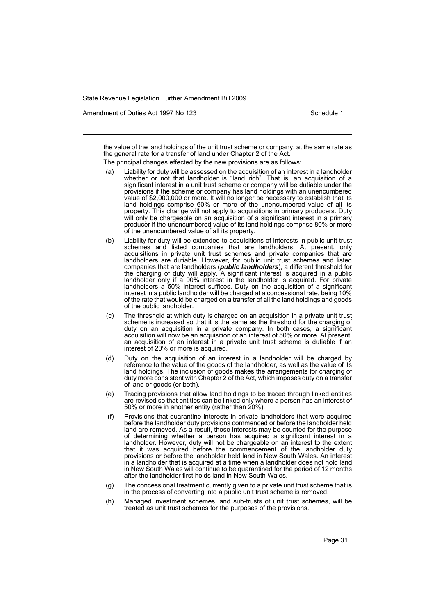Amendment of Duties Act 1997 No 123 Schedule 1

the value of the land holdings of the unit trust scheme or company, at the same rate as the general rate for a transfer of land under Chapter 2 of the Act.

The principal changes effected by the new provisions are as follows:

- Liability for duty will be assessed on the acquisition of an interest in a landholder whether or not that landholder is "land rich". That is, an acquisition of a significant interest in a unit trust scheme or company will be dutiable under the provisions if the scheme or company has land holdings with an unencumbered value of \$2,000,000 or more. It will no longer be necessary to establish that its land holdings comprise 60% or more of the unencumbered value of all its property. This change will not apply to acquisitions in primary producers. Duty will only be chargeable on an acquisition of a significant interest in a primary producer if the unencumbered value of its land holdings comprise 80% or more of the unencumbered value of all its property.
- (b) Liability for duty will be extended to acquisitions of interests in public unit trust schemes and listed companies that are landholders. At present, only acquisitions in private unit trust schemes and private companies that are landholders are dutiable. However, for public unit trust schemes and listed companies that are landholders (*public landholders*), a different threshold for the charging of duty will apply. A significant interest is acquired in a public landholder only if a 90% interest in the landholder is acquired. For private landholders a 50% interest suffices. Duty on the acquisition of a significant interest in a public landholder will be charged at a concessional rate, being 10% of the rate that would be charged on a transfer of all the land holdings and goods of the public landholder.
- (c) The threshold at which duty is charged on an acquisition in a private unit trust scheme is increased so that it is the same as the threshold for the charging of duty on an acquisition in a private company. In both cases, a significant acquisition will now be an acquisition of an interest of 50% or more. At present, an acquisition of an interest in a private unit trust scheme is dutiable if an interest of 20% or more is acquired.
- (d) Duty on the acquisition of an interest in a landholder will be charged by reference to the value of the goods of the landholder, as well as the value of its land holdings. The inclusion of goods makes the arrangements for charging of duty more consistent with Chapter 2 of the Act, which imposes duty on a transfer of land or goods (or both).
- (e) Tracing provisions that allow land holdings to be traced through linked entities are revised so that entities can be linked only where a person has an interest of 50% or more in another entity (rather than 20%).
- (f) Provisions that quarantine interests in private landholders that were acquired before the landholder duty provisions commenced or before the landholder held land are removed. As a result, those interests may be counted for the purpose of determining whether a person has acquired a significant interest in a landholder. However, duty will not be chargeable on an interest to the extent that it was acquired before the commencement of the landholder duty provisions or before the landholder held land in New South Wales. An interest in a landholder that is acquired at a time when a landholder does not hold land in New South Wales will continue to be quarantined for the period of 12 months after the landholder first holds land in New South Wales.
- (g) The concessional treatment currently given to a private unit trust scheme that is in the process of converting into a public unit trust scheme is removed.
- (h) Managed investment schemes, and sub-trusts of unit trust schemes, will be treated as unit trust schemes for the purposes of the provisions.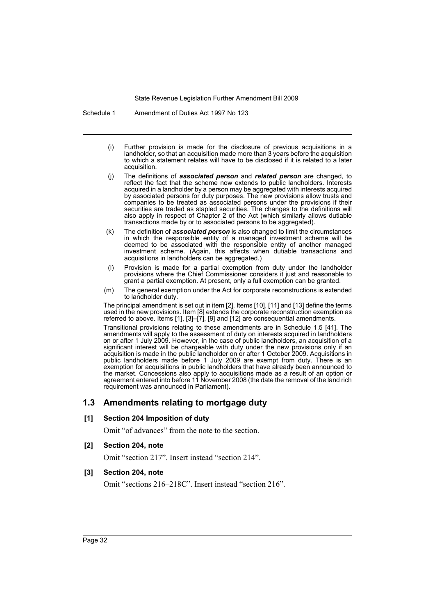Schedule 1 Amendment of Duties Act 1997 No 123

- (i) Further provision is made for the disclosure of previous acquisitions in a landholder, so that an acquisition made more than 3 years before the acquisition to which a statement relates will have to be disclosed if it is related to a later acquisition.
- (j) The definitions of *associated person* and *related person* are changed, to reflect the fact that the scheme now extends to public landholders. Interests acquired in a landholder by a person may be aggregated with interests acquired by associated persons for duty purposes. The new provisions allow trusts and companies to be treated as associated persons under the provisions if their securities are traded as stapled securities. The changes to the definitions will also apply in respect of Chapter 2 of the Act (which similarly allows dutiable transactions made by or to associated persons to be aggregated).
- (k) The definition of *associated person* is also changed to limit the circumstances in which the responsible entity of a managed investment scheme will be deemed to be associated with the responsible entity of another managed investment scheme. (Again, this affects when dutiable transactions and acquisitions in landholders can be aggregated.)
- (l) Provision is made for a partial exemption from duty under the landholder provisions where the Chief Commissioner considers it just and reasonable to grant a partial exemption. At present, only a full exemption can be granted.
- (m) The general exemption under the Act for corporate reconstructions is extended to landholder duty.

The principal amendment is set out in item [2]. Items [10], [11] and [13] define the terms used in the new provisions. Item [8] extends the corporate reconstruction exemption as referred to above. Items [1], [3]–[7], [9] and [12] are consequential amendments.

Transitional provisions relating to these amendments are in Schedule 1.5 [41]. The amendments will apply to the assessment of duty on interests acquired in landholders on or after 1 July 2009. However, in the case of public landholders, an acquisition of a significant interest will be chargeable with duty under the new provisions only if an acquisition is made in the public landholder on or after 1 October 2009. Acquisitions in public landholders made before 1 July 2009 are exempt from duty. There is an exemption for acquisitions in public landholders that have already been announced to the market. Concessions also apply to acquisitions made as a result of an option or agreement entered into before 11 November 2008 (the date the removal of the land rich requirement was announced in Parliament).

# **1.3 Amendments relating to mortgage duty**

#### **[1] Section 204 Imposition of duty**

Omit "of advances" from the note to the section.

**[2] Section 204, note**

Omit "section 217". Insert instead "section 214".

#### **[3] Section 204, note**

Omit "sections 216–218C". Insert instead "section 216".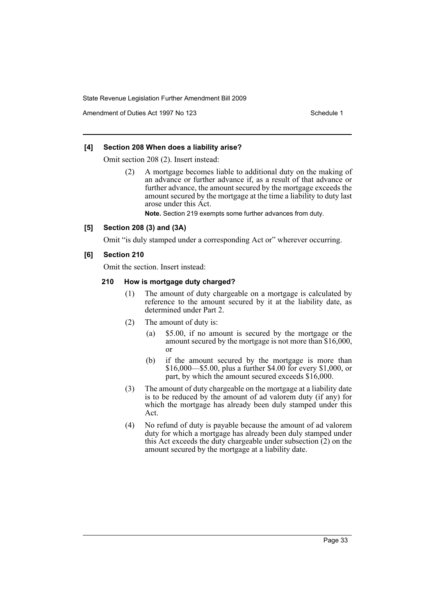Amendment of Duties Act 1997 No 123 Schedule 1

### **[4] Section 208 When does a liability arise?**

Omit section 208 (2). Insert instead:

(2) A mortgage becomes liable to additional duty on the making of an advance or further advance if, as a result of that advance or further advance, the amount secured by the mortgage exceeds the amount secured by the mortgage at the time a liability to duty last arose under this Act.

**Note.** Section 219 exempts some further advances from duty.

#### **[5] Section 208 (3) and (3A)**

Omit "is duly stamped under a corresponding Act or" wherever occurring.

# **[6] Section 210**

Omit the section. Insert instead:

#### **210 How is mortgage duty charged?**

- (1) The amount of duty chargeable on a mortgage is calculated by reference to the amount secured by it at the liability date, as determined under Part 2.
- (2) The amount of duty is:
	- (a) \$5.00, if no amount is secured by the mortgage or the amount secured by the mortgage is not more than \$16,000, or
	- (b) if the amount secured by the mortgage is more than \$16,000—\$5.00, plus a further \$4.00 for every \$1,000, or part, by which the amount secured exceeds \$16,000.
- (3) The amount of duty chargeable on the mortgage at a liability date is to be reduced by the amount of ad valorem duty (if any) for which the mortgage has already been duly stamped under this Act.
- (4) No refund of duty is payable because the amount of ad valorem duty for which a mortgage has already been duly stamped under this Act exceeds the duty chargeable under subsection (2) on the amount secured by the mortgage at a liability date.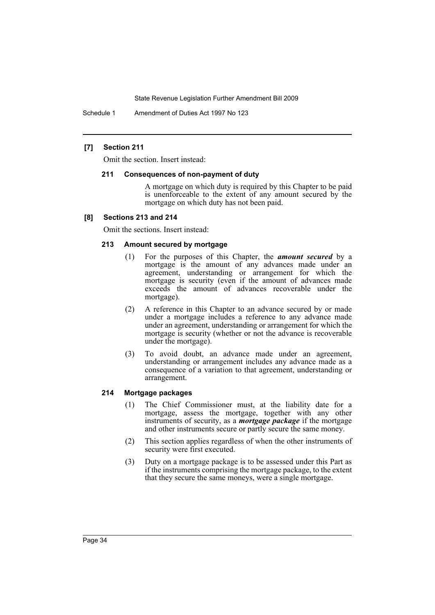Schedule 1 Amendment of Duties Act 1997 No 123

### **[7] Section 211**

Omit the section. Insert instead:

#### **211 Consequences of non-payment of duty**

A mortgage on which duty is required by this Chapter to be paid is unenforceable to the extent of any amount secured by the mortgage on which duty has not been paid.

#### **[8] Sections 213 and 214**

Omit the sections. Insert instead:

## **213 Amount secured by mortgage**

- (1) For the purposes of this Chapter, the *amount secured* by a mortgage is the amount of any advances made under an agreement, understanding or arrangement for which the mortgage is security (even if the amount of advances made exceeds the amount of advances recoverable under the mortgage).
- (2) A reference in this Chapter to an advance secured by or made under a mortgage includes a reference to any advance made under an agreement, understanding or arrangement for which the mortgage is security (whether or not the advance is recoverable under the mortgage).
- (3) To avoid doubt, an advance made under an agreement, understanding or arrangement includes any advance made as a consequence of a variation to that agreement, understanding or arrangement.

#### **214 Mortgage packages**

- (1) The Chief Commissioner must, at the liability date for a mortgage, assess the mortgage, together with any other instruments of security, as a *mortgage package* if the mortgage and other instruments secure or partly secure the same money.
- (2) This section applies regardless of when the other instruments of security were first executed.
- (3) Duty on a mortgage package is to be assessed under this Part as if the instruments comprising the mortgage package, to the extent that they secure the same moneys, were a single mortgage.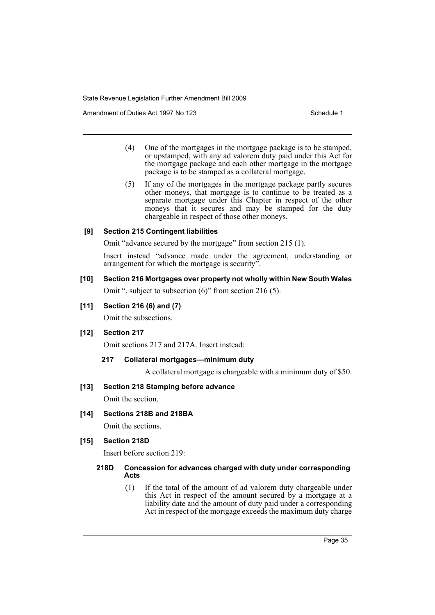Amendment of Duties Act 1997 No 123 Schedule 1

- (4) One of the mortgages in the mortgage package is to be stamped, or upstamped, with any ad valorem duty paid under this Act for the mortgage package and each other mortgage in the mortgage package is to be stamped as a collateral mortgage.
- (5) If any of the mortgages in the mortgage package partly secures other moneys, that mortgage is to continue to be treated as a separate mortgage under this Chapter in respect of the other moneys that it secures and may be stamped for the duty chargeable in respect of those other moneys.

#### **[9] Section 215 Contingent liabilities**

Omit "advance secured by the mortgage" from section 215 (1).

Insert instead "advance made under the agreement, understanding or arrangement for which the mortgage is security".

## **[10] Section 216 Mortgages over property not wholly within New South Wales**

Omit ", subject to subsection (6)" from section 216 (5).

#### **[11] Section 216 (6) and (7)**

Omit the subsections.

# **[12] Section 217**

Omit sections 217 and 217A. Insert instead:

### **217 Collateral mortgages—minimum duty**

A collateral mortgage is chargeable with a minimum duty of \$50.

#### **[13] Section 218 Stamping before advance**

Omit the section.

#### **[14] Sections 218B and 218BA**

Omit the sections.

# **[15] Section 218D**

Insert before section 219:

### **218D Concession for advances charged with duty under corresponding Acts**

(1) If the total of the amount of ad valorem duty chargeable under this Act in respect of the amount secured by a mortgage at a liability date and the amount of duty paid under a corresponding Act in respect of the mortgage exceeds the maximum duty charge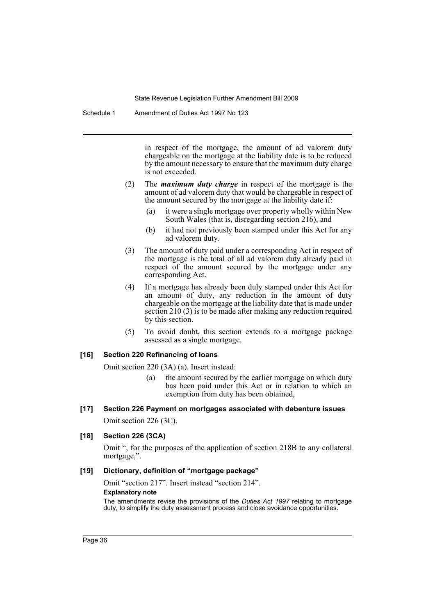Schedule 1 Amendment of Duties Act 1997 No 123

in respect of the mortgage, the amount of ad valorem duty chargeable on the mortgage at the liability date is to be reduced by the amount necessary to ensure that the maximum duty charge is not exceeded.

- (2) The *maximum duty charge* in respect of the mortgage is the amount of ad valorem duty that would be chargeable in respect of the amount secured by the mortgage at the liability date if:
	- (a) it were a single mortgage over property wholly within New South Wales (that is, disregarding section 216), and
	- (b) it had not previously been stamped under this Act for any ad valorem duty.
- (3) The amount of duty paid under a corresponding Act in respect of the mortgage is the total of all ad valorem duty already paid in respect of the amount secured by the mortgage under any corresponding Act.
- (4) If a mortgage has already been duly stamped under this Act for an amount of duty, any reduction in the amount of duty chargeable on the mortgage at the liability date that is made under section 210 (3) is to be made after making any reduction required by this section.
- (5) To avoid doubt, this section extends to a mortgage package assessed as a single mortgage.

## **[16] Section 220 Refinancing of loans**

Omit section 220 (3A) (a). Insert instead:

(a) the amount secured by the earlier mortgage on which duty has been paid under this Act or in relation to which an exemption from duty has been obtained,

# **[17] Section 226 Payment on mortgages associated with debenture issues**

Omit section 226 (3C).

## **[18] Section 226 (3CA)**

Omit ", for the purposes of the application of section 218B to any collateral mortgage,".

## **[19] Dictionary, definition of "mortgage package"**

Omit "section 217". Insert instead "section 214".

### **Explanatory note**

The amendments revise the provisions of the *Duties Act 1997* relating to mortgage duty, to simplify the duty assessment process and close avoidance opportunities.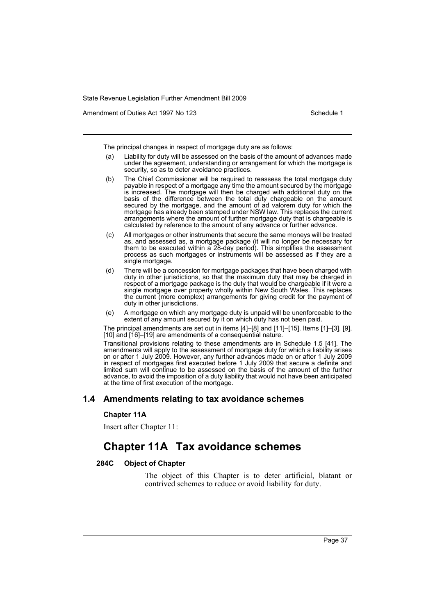Amendment of Duties Act 1997 No 123 Schedule 1

The principal changes in respect of mortgage duty are as follows:

- (a) Liability for duty will be assessed on the basis of the amount of advances made under the agreement, understanding or arrangement for which the mortgage is security, so as to deter avoidance practices.
- (b) The Chief Commissioner will be required to reassess the total mortgage duty payable in respect of a mortgage any time the amount secured by the mortgage is increased. The mortgage will then be charged with additional duty on the basis of the difference between the total duty chargeable on the amount secured by the mortgage, and the amount of ad valorem duty for which the mortgage has already been stamped under NSW law. This replaces the current arrangements where the amount of further mortgage duty that is chargeable is calculated by reference to the amount of any advance or further advance.
- (c) All mortgages or other instruments that secure the same moneys will be treated as, and assessed as, a mortgage package (it will no longer be necessary for them to be executed within a 28-day period). This simplifies the assessment process as such mortgages or instruments will be assessed as if they are a single mortgage.
- (d) There will be a concession for mortgage packages that have been charged with duty in other jurisdictions, so that the maximum duty that may be charged in respect of a mortgage package is the duty that would be chargeable if it were a single mortgage over property wholly within New South Wales. This replaces the current (more complex) arrangements for giving credit for the payment of duty in other jurisdictions.
- (e) A mortgage on which any mortgage duty is unpaid will be unenforceable to the extent of any amount secured by it on which duty has not been paid.

The principal amendments are set out in items [4]–[8] and [11]–[15]. Items [1]–[3], [9], [10] and [16]-[19] are amendments of a consequential nature.

Transitional provisions relating to these amendments are in Schedule 1.5 [41]. The amendments will apply to the assessment of mortgage duty for which a liability arises on or after 1 July 2009. However, any further advances made on or after 1 July 2009 in respect of mortgages first executed before 1 July 2009 that secure a definite and limited sum will continue to be assessed on the basis of the amount of the further advance, to avoid the imposition of a duty liability that would not have been anticipated at the time of first execution of the mortgage.

## **1.4 Amendments relating to tax avoidance schemes**

## **Chapter 11A**

Insert after Chapter 11:

# **Chapter 11A Tax avoidance schemes**

## **284C Object of Chapter**

The object of this Chapter is to deter artificial, blatant or contrived schemes to reduce or avoid liability for duty.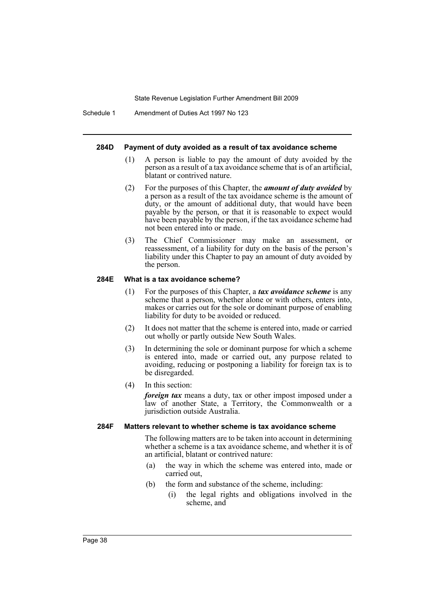Schedule 1 Amendment of Duties Act 1997 No 123

#### **284D Payment of duty avoided as a result of tax avoidance scheme**

- (1) A person is liable to pay the amount of duty avoided by the person as a result of a tax avoidance scheme that is of an artificial, blatant or contrived nature.
- (2) For the purposes of this Chapter, the *amount of duty avoided* by a person as a result of the tax avoidance scheme is the amount of duty, or the amount of additional duty, that would have been payable by the person, or that it is reasonable to expect would have been payable by the person, if the tax avoidance scheme had not been entered into or made.
- (3) The Chief Commissioner may make an assessment, or reassessment, of a liability for duty on the basis of the person's liability under this Chapter to pay an amount of duty avoided by the person.

#### **284E What is a tax avoidance scheme?**

- (1) For the purposes of this Chapter, a *tax avoidance scheme* is any scheme that a person, whether alone or with others, enters into, makes or carries out for the sole or dominant purpose of enabling liability for duty to be avoided or reduced.
- (2) It does not matter that the scheme is entered into, made or carried out wholly or partly outside New South Wales.
- (3) In determining the sole or dominant purpose for which a scheme is entered into, made or carried out, any purpose related to avoiding, reducing or postponing a liability for foreign tax is to be disregarded.
- (4) In this section:

*foreign tax* means a duty, tax or other impost imposed under a law of another State, a Territory, the Commonwealth or a jurisdiction outside Australia.

## **284F Matters relevant to whether scheme is tax avoidance scheme**

The following matters are to be taken into account in determining whether a scheme is a tax avoidance scheme, and whether it is of an artificial, blatant or contrived nature:

- (a) the way in which the scheme was entered into, made or carried out,
- (b) the form and substance of the scheme, including:
	- (i) the legal rights and obligations involved in the scheme, and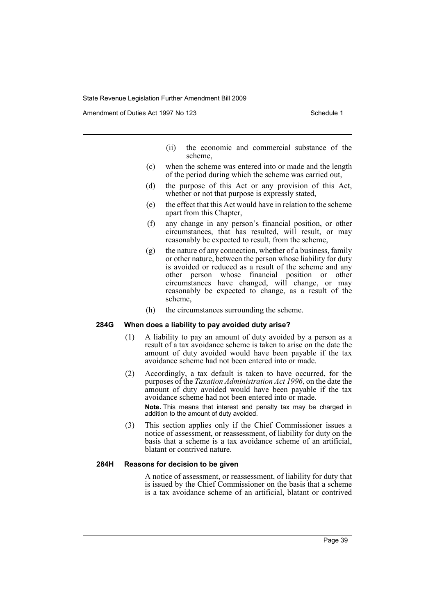Amendment of Duties Act 1997 No 123 Schedule 1

- (ii) the economic and commercial substance of the scheme,
- (c) when the scheme was entered into or made and the length of the period during which the scheme was carried out,
- (d) the purpose of this Act or any provision of this Act, whether or not that purpose is expressly stated,
- (e) the effect that this Act would have in relation to the scheme apart from this Chapter,
- (f) any change in any person's financial position, or other circumstances, that has resulted, will result, or may reasonably be expected to result, from the scheme,
- (g) the nature of any connection, whether of a business, family or other nature, between the person whose liability for duty is avoided or reduced as a result of the scheme and any other person whose financial position or other circumstances have changed, will change, or may reasonably be expected to change, as a result of the scheme,
- (h) the circumstances surrounding the scheme.

## **284G When does a liability to pay avoided duty arise?**

- (1) A liability to pay an amount of duty avoided by a person as a result of a tax avoidance scheme is taken to arise on the date the amount of duty avoided would have been payable if the tax avoidance scheme had not been entered into or made.
- (2) Accordingly, a tax default is taken to have occurred, for the purposes of the *Taxation Administration Act 1996*, on the date the amount of duty avoided would have been payable if the tax avoidance scheme had not been entered into or made.

**Note.** This means that interest and penalty tax may be charged in addition to the amount of duty avoided.

(3) This section applies only if the Chief Commissioner issues a notice of assessment, or reassessment, of liability for duty on the basis that a scheme is a tax avoidance scheme of an artificial, blatant or contrived nature.

## **284H Reasons for decision to be given**

A notice of assessment, or reassessment, of liability for duty that is issued by the Chief Commissioner on the basis that a scheme is a tax avoidance scheme of an artificial, blatant or contrived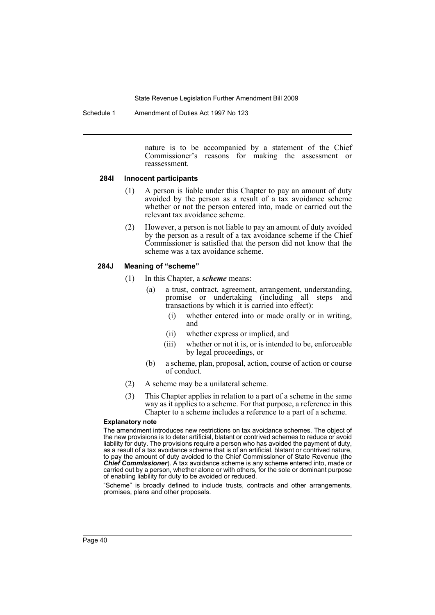Schedule 1 Amendment of Duties Act 1997 No 123

nature is to be accompanied by a statement of the Chief Commissioner's reasons for making the assessment or reassessment.

### **284I Innocent participants**

- (1) A person is liable under this Chapter to pay an amount of duty avoided by the person as a result of a tax avoidance scheme whether or not the person entered into, made or carried out the relevant tax avoidance scheme.
- (2) However, a person is not liable to pay an amount of duty avoided by the person as a result of a tax avoidance scheme if the Chief Commissioner is satisfied that the person did not know that the scheme was a tax avoidance scheme.

## **284J Meaning of "scheme"**

- (1) In this Chapter, a *scheme* means:
	- (a) a trust, contract, agreement, arrangement, understanding, promise or undertaking (including all steps and transactions by which it is carried into effect):
		- (i) whether entered into or made orally or in writing, and
		- (ii) whether express or implied, and
		- (iii) whether or not it is, or is intended to be, enforceable by legal proceedings, or
	- (b) a scheme, plan, proposal, action, course of action or course of conduct.
- (2) A scheme may be a unilateral scheme.
- (3) This Chapter applies in relation to a part of a scheme in the same way as it applies to a scheme. For that purpose, a reference in this Chapter to a scheme includes a reference to a part of a scheme.

#### **Explanatory note**

The amendment introduces new restrictions on tax avoidance schemes. The object of the new provisions is to deter artificial, blatant or contrived schemes to reduce or avoid liability for duty. The provisions require a person who has avoided the payment of duty, as a result of a tax avoidance scheme that is of an artificial, blatant or contrived nature, to pay the amount of duty avoided to the Chief Commissioner of State Revenue (the *Chief Commissioner*). A tax avoidance scheme is any scheme entered into, made or carried out by a person, whether alone or with others, for the sole or dominant purpose of enabling liability for duty to be avoided or reduced.

"Scheme" is broadly defined to include trusts, contracts and other arrangements, promises, plans and other proposals.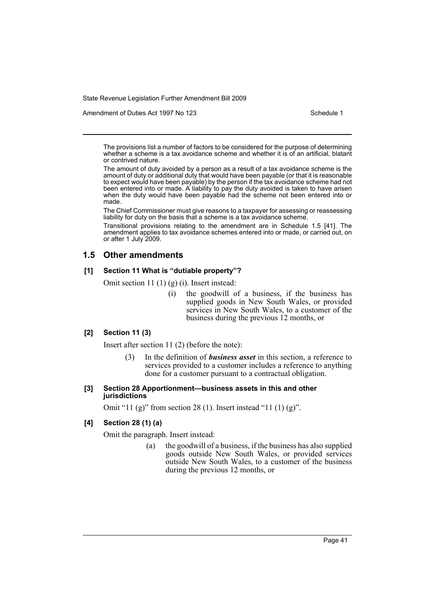Amendment of Duties Act 1997 No 123 Schedule 1

The provisions list a number of factors to be considered for the purpose of determining whether a scheme is a tax avoidance scheme and whether it is of an artificial, blatant or contrived nature.

The amount of duty avoided by a person as a result of a tax avoidance scheme is the amount of duty or additional duty that would have been payable (or that it is reasonable to expect would have been payable) by the person if the tax avoidance scheme had not been entered into or made. A liability to pay the duty avoided is taken to have arisen when the duty would have been payable had the scheme not been entered into or made.

The Chief Commissioner must give reasons to a taxpayer for assessing or reassessing liability for duty on the basis that a scheme is a tax avoidance scheme.

Transitional provisions relating to the amendment are in Schedule 1.5 [41]. The amendment applies to tax avoidance schemes entered into or made, or carried out, on or after 1 July 2009.

## **1.5 Other amendments**

## **[1] Section 11 What is "dutiable property"?**

Omit section 11 (1) (g) (i). Insert instead:

(i) the goodwill of a business, if the business has supplied goods in New South Wales, or provided services in New South Wales, to a customer of the business during the previous 12 months, or

## **[2] Section 11 (3)**

Insert after section 11 (2) (before the note):

(3) In the definition of *business asset* in this section, a reference to services provided to a customer includes a reference to anything done for a customer pursuant to a contractual obligation.

## **[3] Section 28 Apportionment—business assets in this and other jurisdictions**

Omit "11 (g)" from section 28 (1). Insert instead "11 (1) (g)".

## **[4] Section 28 (1) (a)**

Omit the paragraph. Insert instead:

(a) the goodwill of a business, if the business has also supplied goods outside New South Wales, or provided services outside New South Wales, to a customer of the business during the previous 12 months, or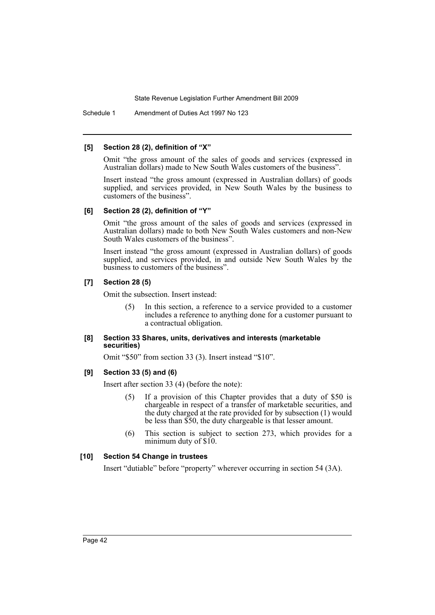Schedule 1 Amendment of Duties Act 1997 No 123

### **[5] Section 28 (2), definition of "X"**

Omit "the gross amount of the sales of goods and services (expressed in Australian dollars) made to New South Wales customers of the business".

Insert instead "the gross amount (expressed in Australian dollars) of goods supplied, and services provided, in New South Wales by the business to customers of the business".

### **[6] Section 28 (2), definition of "Y"**

Omit "the gross amount of the sales of goods and services (expressed in Australian dollars) made to both New South Wales customers and non-New South Wales customers of the business".

Insert instead "the gross amount (expressed in Australian dollars) of goods supplied, and services provided, in and outside New South Wales by the business to customers of the business".

## **[7] Section 28 (5)**

Omit the subsection. Insert instead:

(5) In this section, a reference to a service provided to a customer includes a reference to anything done for a customer pursuant to a contractual obligation.

## **[8] Section 33 Shares, units, derivatives and interests (marketable securities)**

Omit "\$50" from section 33 (3). Insert instead "\$10".

## **[9] Section 33 (5) and (6)**

Insert after section 33 (4) (before the note):

- (5) If a provision of this Chapter provides that a duty of \$50 is chargeable in respect of a transfer of marketable securities, and the duty charged at the rate provided for by subsection (1) would be less than \$50, the duty chargeable is that lesser amount.
- (6) This section is subject to section 273, which provides for a minimum duty of \$10.

## **[10] Section 54 Change in trustees**

Insert "dutiable" before "property" wherever occurring in section 54 (3A).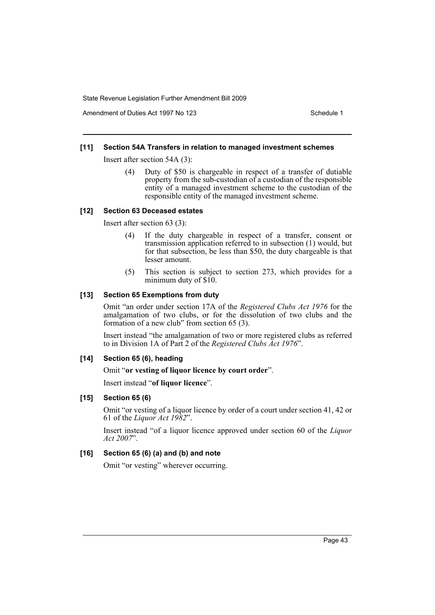Amendment of Duties Act 1997 No 123 Schedule 1

## **[11] Section 54A Transfers in relation to managed investment schemes**

Insert after section 54A (3):

(4) Duty of \$50 is chargeable in respect of a transfer of dutiable property from the sub-custodian of a custodian of the responsible entity of a managed investment scheme to the custodian of the responsible entity of the managed investment scheme.

### **[12] Section 63 Deceased estates**

Insert after section 63 (3):

- (4) If the duty chargeable in respect of a transfer, consent or transmission application referred to in subsection (1) would, but for that subsection, be less than \$50, the duty chargeable is that lesser amount.
- (5) This section is subject to section 273, which provides for a minimum duty of \$10.

## **[13] Section 65 Exemptions from duty**

Omit "an order under section 17A of the *Registered Clubs Act 1976* for the amalgamation of two clubs, or for the dissolution of two clubs and the formation of a new club" from section 65 (3).

Insert instead "the amalgamation of two or more registered clubs as referred to in Division 1A of Part 2 of the *Registered Clubs Act 1976*".

## **[14] Section 65 (6), heading**

## Omit "**or vesting of liquor licence by court order**".

Insert instead "**of liquor licence**".

## **[15] Section 65 (6)**

Omit "or vesting of a liquor licence by order of a court under section 41, 42 or 61 of the *Liquor Act 1982*".

Insert instead "of a liquor licence approved under section 60 of the *Liquor Act 2007*".

## **[16] Section 65 (6) (a) and (b) and note**

Omit "or vesting" wherever occurring.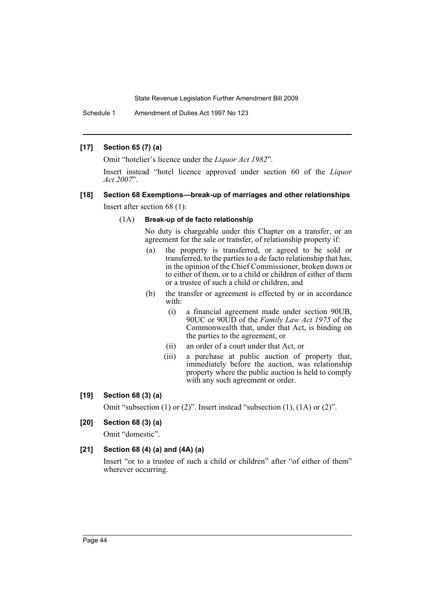Schedule 1 Amendment of Duties Act 1997 No 123

## **[17] Section 65 (7) (a)**

Omit "hotelier's licence under the *Liquor Act 1982*".

Insert instead "hotel licence approved under section 60 of the *Liquor Act 2007*".

## **[18] Section 68 Exemptions—break-up of marriages and other relationships**

Insert after section 68 (1):

## (1A) **Break-up of de facto relationship**

No duty is chargeable under this Chapter on a transfer, or an agreement for the sale or transfer, of relationship property if:

- (a) the property is transferred, or agreed to be sold or transferred, to the parties to a de facto relationship that has, in the opinion of the Chief Commissioner, broken down or to either of them, or to a child or children of either of them or a trustee of such a child or children, and
- (b) the transfer or agreement is effected by or in accordance with:
	- (i) a financial agreement made under section 90UB, 90UC or 90UD of the *Family Law Act 1975* of the Commonwealth that, under that Act, is binding on the parties to the agreement, or
	- (ii) an order of a court under that Act, or
	- (iii) a purchase at public auction of property that, immediately before the auction, was relationship property where the public auction is held to comply with any such agreement or order.

## **[19] Section 68 (3) (a)**

Omit "subsection (1) or (2)". Insert instead "subsection (1), (1A) or (2)".

## **[20] Section 68 (3) (a)**

Omit "domestic".

## **[21] Section 68 (4) (a) and (4A) (a)**

Insert "or to a trustee of such a child or children" after "of either of them" wherever occurring.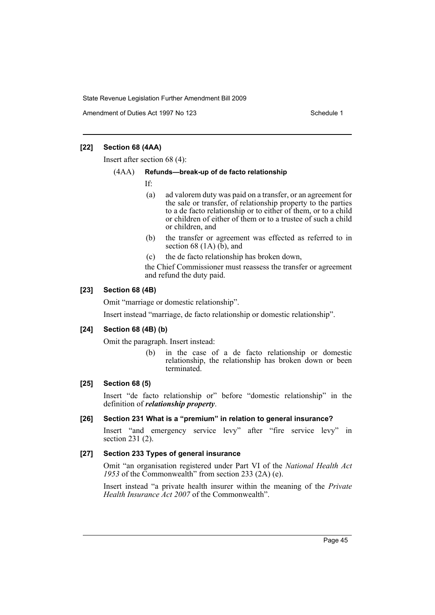Amendment of Duties Act 1997 No 123 Schedule 1

## **[22] Section 68 (4AA)**

Insert after section 68 (4):

### (4AA) **Refunds—break-up of de facto relationship**

If:

- (a) ad valorem duty was paid on a transfer, or an agreement for the sale or transfer, of relationship property to the parties to a de facto relationship or to either of them, or to a child or children of either of them or to a trustee of such a child or children, and
- (b) the transfer or agreement was effected as referred to in section  $68(1A)(b)$ , and
- (c) the de facto relationship has broken down,

the Chief Commissioner must reassess the transfer or agreement and refund the duty paid.

## **[23] Section 68 (4B)**

Omit "marriage or domestic relationship".

Insert instead "marriage, de facto relationship or domestic relationship".

## **[24] Section 68 (4B) (b)**

Omit the paragraph. Insert instead:

(b) in the case of a de facto relationship or domestic relationship, the relationship has broken down or been terminated.

## **[25] Section 68 (5)**

Insert "de facto relationship or" before "domestic relationship" in the definition of *relationship property*.

## **[26] Section 231 What is a "premium" in relation to general insurance?**

Insert "and emergency service levy" after "fire service levy" in section 231 (2).

## **[27] Section 233 Types of general insurance**

Omit "an organisation registered under Part VI of the *National Health Act 1953* of the Commonwealth" from section 233 (2A) (e).

Insert instead "a private health insurer within the meaning of the *Private Health Insurance Act 2007* of the Commonwealth".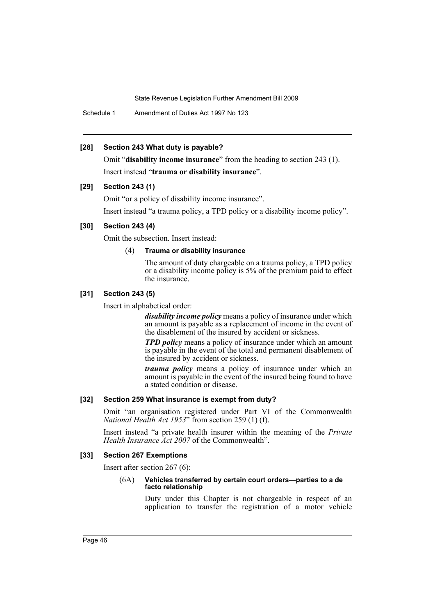Schedule 1 Amendment of Duties Act 1997 No 123

## **[28] Section 243 What duty is payable?**

Omit "**disability income insurance**" from the heading to section 243 (1). Insert instead "**trauma or disability insurance**".

## **[29] Section 243 (1)**

Omit "or a policy of disability income insurance".

Insert instead "a trauma policy, a TPD policy or a disability income policy".

## **[30] Section 243 (4)**

Omit the subsection. Insert instead:

## (4) **Trauma or disability insurance**

The amount of duty chargeable on a trauma policy, a TPD policy or a disability income policy is 5% of the premium paid to effect the insurance.

## **[31] Section 243 (5)**

Insert in alphabetical order:

*disability income policy* means a policy of insurance under which an amount is payable as a replacement of income in the event of the disablement of the insured by accident or sickness.

*TPD policy* means a policy of insurance under which an amount is payable in the event of the total and permanent disablement of the insured by accident or sickness.

*trauma policy* means a policy of insurance under which an amount is payable in the event of the insured being found to have a stated condition or disease.

## **[32] Section 259 What insurance is exempt from duty?**

Omit "an organisation registered under Part VI of the Commonwealth *National Health Act 1953*" from section 259 (1) (f).

Insert instead "a private health insurer within the meaning of the *Private Health Insurance Act 2007* of the Commonwealth".

## **[33] Section 267 Exemptions**

Insert after section 267 (6):

#### (6A) **Vehicles transferred by certain court orders—parties to a de facto relationship**

Duty under this Chapter is not chargeable in respect of an application to transfer the registration of a motor vehicle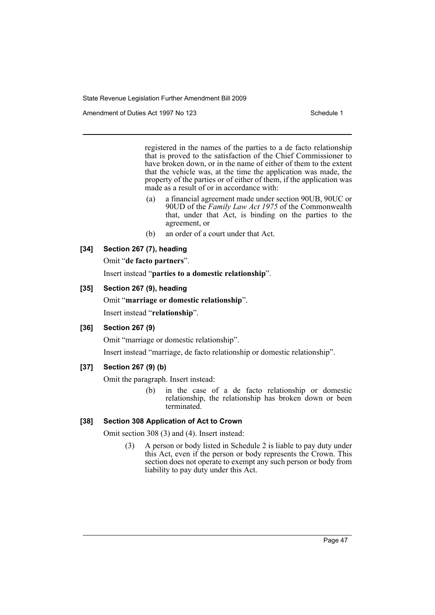Amendment of Duties Act 1997 No 123 Schedule 1

registered in the names of the parties to a de facto relationship that is proved to the satisfaction of the Chief Commissioner to have broken down, or in the name of either of them to the extent that the vehicle was, at the time the application was made, the property of the parties or of either of them, if the application was made as a result of or in accordance with:

- (a) a financial agreement made under section 90UB, 90UC or 90UD of the *Family Law Act 1975* of the Commonwealth that, under that Act, is binding on the parties to the agreement, or
- (b) an order of a court under that Act.

## **[34] Section 267 (7), heading**

Omit "**de facto partners**".

Insert instead "**parties to a domestic relationship**".

## **[35] Section 267 (9), heading**

Omit "**marriage or domestic relationship**". Insert instead "**relationship**".

## **[36] Section 267 (9)**

Omit "marriage or domestic relationship".

Insert instead "marriage, de facto relationship or domestic relationship".

## **[37] Section 267 (9) (b)**

Omit the paragraph. Insert instead:

(b) in the case of a de facto relationship or domestic relationship, the relationship has broken down or been terminated.

## **[38] Section 308 Application of Act to Crown**

Omit section 308 (3) and (4). Insert instead:

(3) A person or body listed in Schedule 2 is liable to pay duty under this Act, even if the person or body represents the Crown. This section does not operate to exempt any such person or body from liability to pay duty under this Act.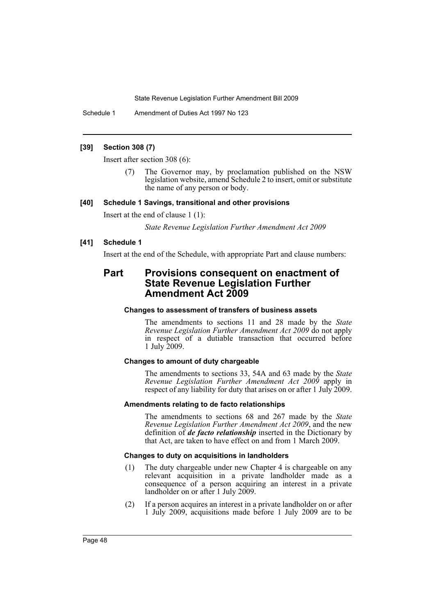Schedule 1 Amendment of Duties Act 1997 No 123

## **[39] Section 308 (7)**

Insert after section 308 (6):

The Governor may, by proclamation published on the NSW legislation website, amend Schedule 2 to insert, omit or substitute the name of any person or body.

## **[40] Schedule 1 Savings, transitional and other provisions**

Insert at the end of clause 1 (1):

*State Revenue Legislation Further Amendment Act 2009*

## **[41] Schedule 1**

Insert at the end of the Schedule, with appropriate Part and clause numbers:

# **Part Provisions consequent on enactment of State Revenue Legislation Further Amendment Act 2009**

## **Changes to assessment of transfers of business assets**

The amendments to sections 11 and 28 made by the *State Revenue Legislation Further Amendment Act 2009* do not apply in respect of a dutiable transaction that occurred before 1 July 2009.

## **Changes to amount of duty chargeable**

The amendments to sections 33, 54A and 63 made by the *State Revenue Legislation Further Amendment Act 2009* apply in respect of any liability for duty that arises on or after 1 July 2009.

## **Amendments relating to de facto relationships**

The amendments to sections 68 and 267 made by the *State Revenue Legislation Further Amendment Act 2009*, and the new definition of *de facto relationship* inserted in the Dictionary by that Act, are taken to have effect on and from 1 March 2009.

## **Changes to duty on acquisitions in landholders**

- (1) The duty chargeable under new Chapter 4 is chargeable on any relevant acquisition in a private landholder made as a consequence of a person acquiring an interest in a private landholder on or after 1 July 2009.
- (2) If a person acquires an interest in a private landholder on or after 1 July 2009, acquisitions made before 1 July 2009 are to be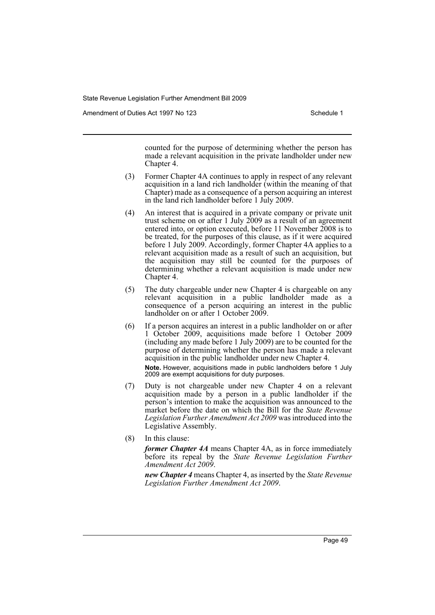Amendment of Duties Act 1997 No 123 Schedule 1

counted for the purpose of determining whether the person has made a relevant acquisition in the private landholder under new Chapter 4.

- (3) Former Chapter 4A continues to apply in respect of any relevant acquisition in a land rich landholder (within the meaning of that Chapter) made as a consequence of a person acquiring an interest in the land rich landholder before 1 July 2009.
- (4) An interest that is acquired in a private company or private unit trust scheme on or after 1 July  $2009$  as a result of an agreement entered into, or option executed, before 11 November 2008 is to be treated, for the purposes of this clause, as if it were acquired before 1 July 2009. Accordingly, former Chapter 4A applies to a relevant acquisition made as a result of such an acquisition, but the acquisition may still be counted for the purposes of determining whether a relevant acquisition is made under new Chapter 4.
- (5) The duty chargeable under new Chapter 4 is chargeable on any relevant acquisition in a public landholder made as a consequence of a person acquiring an interest in the public landholder on or after 1 October 2009.
- (6) If a person acquires an interest in a public landholder on or after 1 October 2009, acquisitions made before 1 October 2009 (including any made before 1 July 2009) are to be counted for the purpose of determining whether the person has made a relevant acquisition in the public landholder under new Chapter 4. **Note.** However, acquisitions made in public landholders before 1 July 2009 are exempt acquisitions for duty purposes.
- (7) Duty is not chargeable under new Chapter 4 on a relevant acquisition made by a person in a public landholder if the person's intention to make the acquisition was announced to the market before the date on which the Bill for the *State Revenue Legislation Further Amendment Act 2009* was introduced into the Legislative Assembly.
- (8) In this clause:

*former Chapter 4A* means Chapter 4A, as in force immediately before its repeal by the *State Revenue Legislation Further Amendment Act 2009*.

*new Chapter 4* means Chapter 4, as inserted by the *State Revenue Legislation Further Amendment Act 2009*.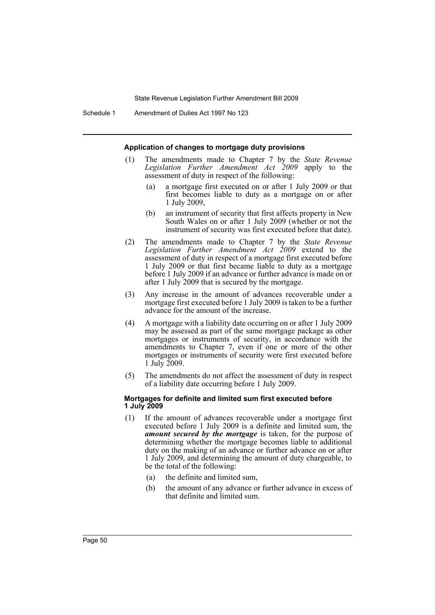Schedule 1 Amendment of Duties Act 1997 No 123

#### **Application of changes to mortgage duty provisions**

- (1) The amendments made to Chapter 7 by the *State Revenue Legislation Further Amendment Act 2009* apply to the assessment of duty in respect of the following:
	- (a) a mortgage first executed on or after 1 July 2009 or that first becomes liable to duty as a mortgage on or after 1 July 2009,
	- (b) an instrument of security that first affects property in New South Wales on or after 1 July 2009 (whether or not the instrument of security was first executed before that date).
- (2) The amendments made to Chapter 7 by the *State Revenue Legislation Further Amendment Act 2009* extend to the assessment of duty in respect of a mortgage first executed before 1 July 2009 or that first became liable to duty as a mortgage before 1 July 2009 if an advance or further advance is made on or after 1 July 2009 that is secured by the mortgage.
- (3) Any increase in the amount of advances recoverable under a mortgage first executed before 1 July 2009 is taken to be a further advance for the amount of the increase.
- (4) A mortgage with a liability date occurring on or after 1 July 2009 may be assessed as part of the same mortgage package as other mortgages or instruments of security, in accordance with the amendments to Chapter 7, even if one or more of the other mortgages or instruments of security were first executed before 1 July 2009.
- (5) The amendments do not affect the assessment of duty in respect of a liability date occurring before 1 July 2009.

### **Mortgages for definite and limited sum first executed before 1 July 2009**

- (1) If the amount of advances recoverable under a mortgage first executed before 1 July 2009 is a definite and limited sum, the *amount secured by the mortgage* is taken, for the purpose of determining whether the mortgage becomes liable to additional duty on the making of an advance or further advance on or after 1 July 2009, and determining the amount of duty chargeable, to be the total of the following:
	- (a) the definite and limited sum,
	- (b) the amount of any advance or further advance in excess of that definite and limited sum.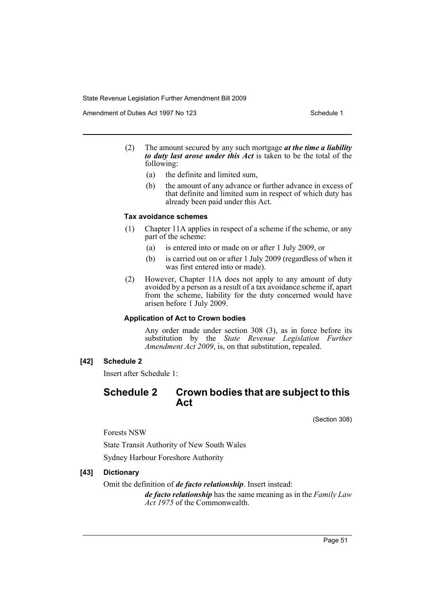Amendment of Duties Act 1997 No 123 Schedule 1

- (2) The amount secured by any such mortgage *at the time a liability to duty last arose under this Act* is taken to be the total of the following:
	- (a) the definite and limited sum,
	- (b) the amount of any advance or further advance in excess of that definite and limited sum in respect of which duty has already been paid under this Act.

## **Tax avoidance schemes**

- (1) Chapter 11A applies in respect of a scheme if the scheme, or any part of the scheme:
	- (a) is entered into or made on or after 1 July 2009, or
	- (b) is carried out on or after 1 July 2009 (regardless of when it was first entered into or made).
- (2) However, Chapter 11A does not apply to any amount of duty avoided by a person as a result of a tax avoidance scheme if, apart from the scheme, liability for the duty concerned would have arisen before 1 July 2009.

## **Application of Act to Crown bodies**

Any order made under section 308 (3), as in force before its substitution by the *State Revenue Legislation Further Amendment Act 2009*, is, on that substitution, repealed.

## **[42] Schedule 2**

Insert after Schedule 1:

## **Schedule 2 Crown bodies that are subject to this Act**

(Section 308)

Forests NSW

State Transit Authority of New South Wales Sydney Harbour Foreshore Authority

## **[43] Dictionary**

Omit the definition of *de facto relationship*. Insert instead:

*de facto relationship* has the same meaning as in the *Family Law Act 1975* of the Commonwealth.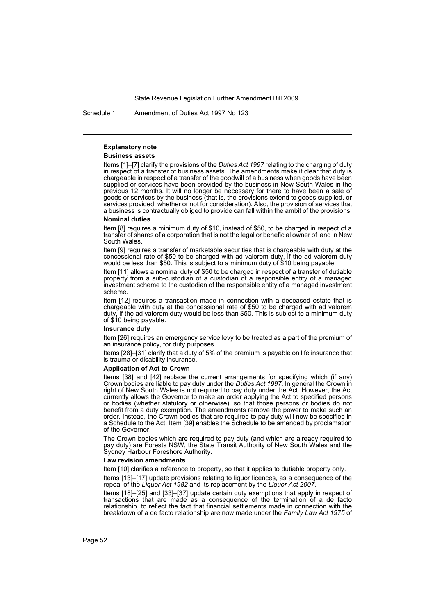Schedule 1 Amendment of Duties Act 1997 No 123

## **Explanatory note**

#### **Business assets**

Items [1]–[7] clarify the provisions of the *Duties Act 1997* relating to the charging of duty in respect of a transfer of business assets. The amendments make it clear that duty is chargeable in respect of a transfer of the goodwill of a business when goods have been supplied or services have been provided by the business in New South Wales in the previous 12 months. It will no longer be necessary for there to have been a sale of goods or services by the business (that is, the provisions extend to goods supplied, or services provided, whether or not for consideration). Also, the provision of services that a business is contractually obliged to provide can fall within the ambit of the provisions.

#### **Nominal duties**

Item [8] requires a minimum duty of \$10, instead of \$50, to be charged in respect of a transfer of shares of a corporation that is not the legal or beneficial owner of land in New South Wales.

Item [9] requires a transfer of marketable securities that is chargeable with duty at the concessional rate of \$50 to be charged with ad valorem duty, if the ad valorem duty would be less than \$50. This is subject to a minimum duty of \$10 being payable.

Item [11] allows a nominal duty of \$50 to be charged in respect of a transfer of dutiable property from a sub-custodian of a custodian of a responsible entity of a managed investment scheme to the custodian of the responsible entity of a managed investment scheme.

Item [12] requires a transaction made in connection with a deceased estate that is chargeable with duty at the concessional rate of \$50 to be charged with ad valorem duty, if the ad valorem duty would be less than \$50. This is subject to a minimum duty of \$10 being payable.

#### **Insurance duty**

Item [26] requires an emergency service levy to be treated as a part of the premium of an insurance policy, for duty purposes.

Items [28]–[31] clarify that a duty of 5% of the premium is payable on life insurance that is trauma or disability insurance.

#### **Application of Act to Crown**

Items [38] and [42] replace the current arrangements for specifying which (if any) Crown bodies are liable to pay duty under the *Duties Act 1997*. In general the Crown in right of New South Wales is not required to pay duty under the Act. However, the Act currently allows the Governor to make an order applying the Act to specified persons or bodies (whether statutory or otherwise), so that those persons or bodies do not benefit from a duty exemption. The amendments remove the power to make such an order. Instead, the Crown bodies that are required to pay duty will now be specified in a Schedule to the Act. Item [39] enables the Schedule to be amended by proclamation of the Governor.

The Crown bodies which are required to pay duty (and which are already required to pay duty) are Forests NSW, the State Transit Authority of New South Wales and the Sydney Harbour Foreshore Authority.

#### **Law revision amendments**

Item [10] clarifies a reference to property, so that it applies to dutiable property only.

Items [13]–[17] update provisions relating to liquor licences, as a consequence of the repeal of the *Liquor Act 1982* and its replacement by the *Liquor Act 2007*.

Items [18]–[25] and [33]–[37] update certain duty exemptions that apply in respect of transactions that are made as a consequence of the termination of a de facto relationship, to reflect the fact that financial settlements made in connection with the breakdown of a de facto relationship are now made under the *Family Law Act 1975* of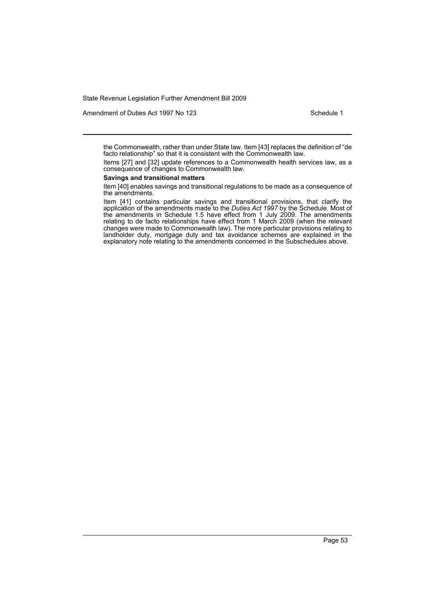Amendment of Duties Act 1997 No 123 Schedule 1

the Commonwealth, rather than under State law. Item [43] replaces the definition of "de facto relationship" so that it is consistent with the Commonwealth law.

Items [27] and [32] update references to a Commonwealth health services law, as a consequence of changes to Commonwealth law.

#### **Savings and transitional matters**

Item [40] enables savings and transitional regulations to be made as a consequence of the amendments.

Item [41] contains particular savings and transitional provisions, that clarify the application of the amendments made to the *Duties Act 1997* by the Schedule. Most of the amendments in Schedule 1.5 have effect from 1 July 2009. The amendments relating to de facto relationships have effect from 1 March 2009 (when the relevant changes were made to Commonwealth law). The more particular provisions relating to landholder duty, mortgage duty and tax avoidance schemes are explained in the explanatory note relating to the amendments concerned in the Subschedules above.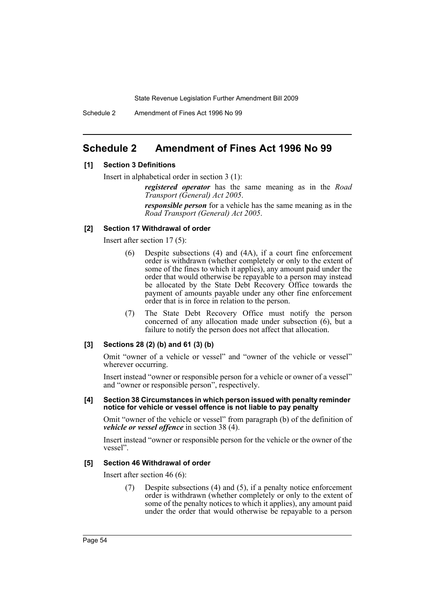Schedule 2 Amendment of Fines Act 1996 No 99

# **Schedule 2 Amendment of Fines Act 1996 No 99**

## **[1] Section 3 Definitions**

Insert in alphabetical order in section 3 (1):

*registered operator* has the same meaning as in the *Road Transport (General) Act 2005*.

*responsible person* for a vehicle has the same meaning as in the *Road Transport (General) Act 2005*.

## **[2] Section 17 Withdrawal of order**

Insert after section 17 (5):

- (6) Despite subsections (4) and (4A), if a court fine enforcement order is withdrawn (whether completely or only to the extent of some of the fines to which it applies), any amount paid under the order that would otherwise be repayable to a person may instead be allocated by the State Debt Recovery Office towards the payment of amounts payable under any other fine enforcement order that is in force in relation to the person.
- (7) The State Debt Recovery Office must notify the person concerned of any allocation made under subsection (6), but a failure to notify the person does not affect that allocation.

## **[3] Sections 28 (2) (b) and 61 (3) (b)**

Omit "owner of a vehicle or vessel" and "owner of the vehicle or vessel" wherever occurring.

Insert instead "owner or responsible person for a vehicle or owner of a vessel" and "owner or responsible person", respectively.

#### **[4] Section 38 Circumstances in which person issued with penalty reminder notice for vehicle or vessel offence is not liable to pay penalty**

Omit "owner of the vehicle or vessel" from paragraph (b) of the definition of *vehicle or vessel offence* in section 38 (4).

Insert instead "owner or responsible person for the vehicle or the owner of the vessel".

## **[5] Section 46 Withdrawal of order**

Insert after section 46 (6):

(7) Despite subsections (4) and (5), if a penalty notice enforcement order is withdrawn (whether completely or only to the extent of some of the penalty notices to which it applies), any amount paid under the order that would otherwise be repayable to a person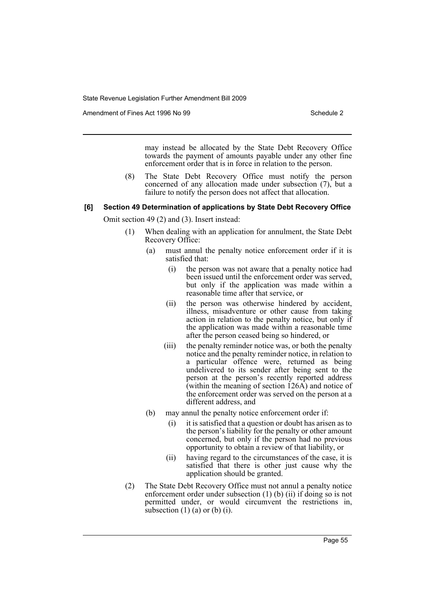Amendment of Fines Act 1996 No 99 Schedule 2

may instead be allocated by the State Debt Recovery Office towards the payment of amounts payable under any other fine enforcement order that is in force in relation to the person.

(8) The State Debt Recovery Office must notify the person concerned of any allocation made under subsection (7), but a failure to notify the person does not affect that allocation.

## **[6] Section 49 Determination of applications by State Debt Recovery Office**

Omit section 49 (2) and (3). Insert instead:

- (1) When dealing with an application for annulment, the State Debt Recovery Office:
	- (a) must annul the penalty notice enforcement order if it is satisfied that:
		- (i) the person was not aware that a penalty notice had been issued until the enforcement order was served, but only if the application was made within a reasonable time after that service, or
		- (ii) the person was otherwise hindered by accident, illness, misadventure or other cause from taking action in relation to the penalty notice, but only if the application was made within a reasonable time after the person ceased being so hindered, or
		- (iii) the penalty reminder notice was, or both the penalty notice and the penalty reminder notice, in relation to a particular offence were, returned as being undelivered to its sender after being sent to the person at the person's recently reported address (within the meaning of section  $126\widehat{A}$ ) and notice of the enforcement order was served on the person at a different address, and
	- (b) may annul the penalty notice enforcement order if:
		- (i) it is satisfied that a question or doubt has arisen as to the person's liability for the penalty or other amount concerned, but only if the person had no previous opportunity to obtain a review of that liability, or
		- (ii) having regard to the circumstances of the case, it is satisfied that there is other just cause why the application should be granted.
- (2) The State Debt Recovery Office must not annul a penalty notice enforcement order under subsection (1) (b) (ii) if doing so is not permitted under, or would circumvent the restrictions in, subsection  $(1)$   $(a)$  or  $(b)$   $(i)$ .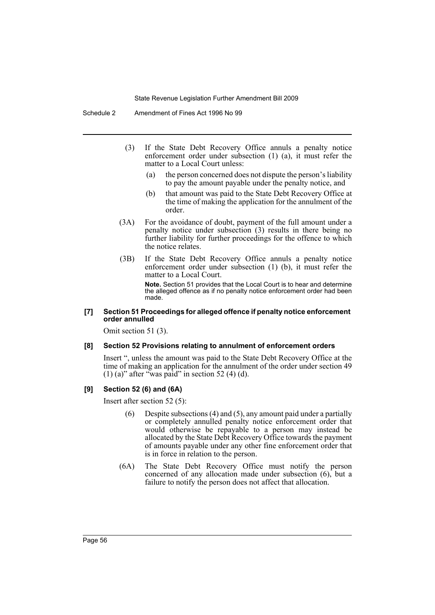- (3) If the State Debt Recovery Office annuls a penalty notice enforcement order under subsection (1) (a), it must refer the matter to a Local Court unless:
	- (a) the person concerned does not dispute the person's liability to pay the amount payable under the penalty notice, and
	- (b) that amount was paid to the State Debt Recovery Office at the time of making the application for the annulment of the order.
- (3A) For the avoidance of doubt, payment of the full amount under a penalty notice under subsection (3) results in there being no further liability for further proceedings for the offence to which the notice relates.
- (3B) If the State Debt Recovery Office annuls a penalty notice enforcement order under subsection (1) (b), it must refer the matter to a Local Court. **Note.** Section 51 provides that the Local Court is to hear and determine the alleged offence as if no penalty notice enforcement order had been made.

## **[7] Section 51 Proceedings for alleged offence if penalty notice enforcement order annulled**

Omit section 51 (3).

## **[8] Section 52 Provisions relating to annulment of enforcement orders**

Insert ", unless the amount was paid to the State Debt Recovery Office at the time of making an application for the annulment of the order under section 49  $(1)$  (a)" after "was paid" in section 52 (4) (d).

## **[9] Section 52 (6) and (6A)**

Insert after section 52 (5):

- Despite subsections  $(4)$  and  $(5)$ , any amount paid under a partially or completely annulled penalty notice enforcement order that would otherwise be repayable to a person may instead be allocated by the State Debt Recovery Office towards the payment of amounts payable under any other fine enforcement order that is in force in relation to the person.
- (6A) The State Debt Recovery Office must notify the person concerned of any allocation made under subsection (6), but a failure to notify the person does not affect that allocation.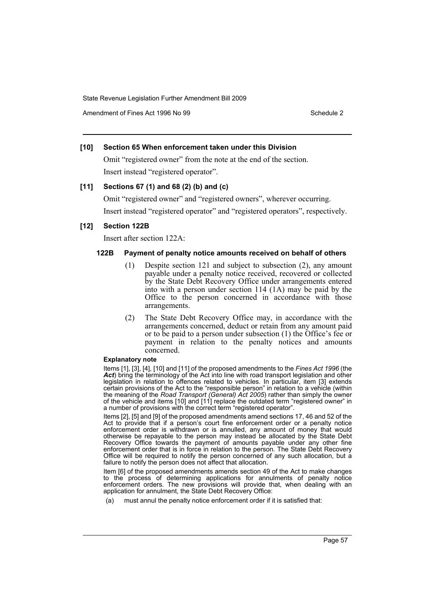Amendment of Fines Act 1996 No 99 Schedule 2

## **[10] Section 65 When enforcement taken under this Division**

Omit "registered owner" from the note at the end of the section. Insert instead "registered operator".

## **[11] Sections 67 (1) and 68 (2) (b) and (c)**

Omit "registered owner" and "registered owners", wherever occurring. Insert instead "registered operator" and "registered operators", respectively.

## **[12] Section 122B**

Insert after section 122A:

## **122B Payment of penalty notice amounts received on behalf of others**

- (1) Despite section 121 and subject to subsection (2), any amount payable under a penalty notice received, recovered or collected by the State Debt Recovery Office under arrangements entered into with a person under section 114 (1A) may be paid by the Office to the person concerned in accordance with those arrangements.
- (2) The State Debt Recovery Office may, in accordance with the arrangements concerned, deduct or retain from any amount paid or to be paid to a person under subsection (1) the Office's fee or payment in relation to the penalty notices and amounts concerned.

#### **Explanatory note**

Items [1], [3], [4], [10] and [11] of the proposed amendments to the *Fines Act 1996* (the Act) bring the terminology of the Act into line with road transport legislation and other legislation in relation to offences related to vehicles. In particular, item [3] extends certain provisions of the Act to the "responsible person" in relation to a vehicle (within the meaning of the *Road Transport (General) Act 2005*) rather than simply the owner of the vehicle and items [10] and [11] replace the outdated term "registered owner" in a number of provisions with the correct term "registered operator".

Items [2], [5] and [9] of the proposed amendments amend sections 17, 46 and 52 of the Act to provide that if a person's court fine enforcement order or a penalty notice enforcement order is withdrawn or is annulled, any amount of money that would otherwise be repayable to the person may instead be allocated by the State Debt Recovery Office towards the payment of amounts payable under any other fine enforcement order that is in force in relation to the person. The State Debt Recovery Office will be required to notify the person concerned of any such allocation, but a failure to notify the person does not affect that allocation.

Item [6] of the proposed amendments amends section 49 of the Act to make changes to the process of determining applications for annulments of penalty notice enforcement orders. The new provisions will provide that, when dealing with an application for annulment, the State Debt Recovery Office:

(a) must annul the penalty notice enforcement order if it is satisfied that: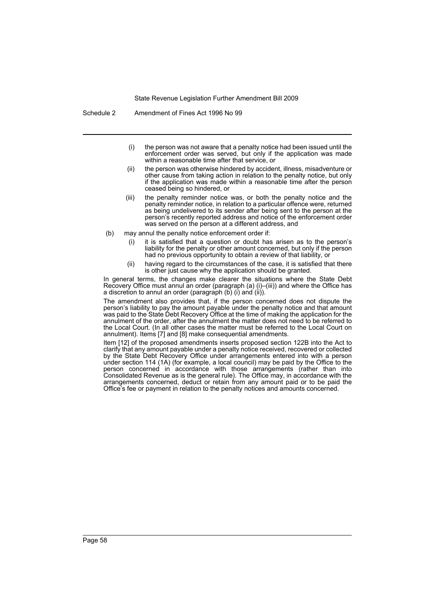Schedule 2 Amendment of Fines Act 1996 No 99

- (i) the person was not aware that a penalty notice had been issued until the enforcement order was served, but only if the application was made within a reasonable time after that service, or
- (ii) the person was otherwise hindered by accident, illness, misadventure or other cause from taking action in relation to the penalty notice, but only if the application was made within a reasonable time after the person ceased being so hindered, or
- (iii) the penalty reminder notice was, or both the penalty notice and the penalty reminder notice, in relation to a particular offence were, returned as being undelivered to its sender after being sent to the person at the person's recently reported address and notice of the enforcement order was served on the person at a different address, and
- (b) may annul the penalty notice enforcement order if:
	- (i) it is satisfied that a question or doubt has arisen as to the person's liability for the penalty or other amount concerned, but only if the person had no previous opportunity to obtain a review of that liability, or
	- (ii) having regard to the circumstances of the case, it is satisfied that there is other just cause why the application should be granted.

In general terms, the changes make clearer the situations where the State Debt Recovery Office must annul an order (paragraph (a) (i)–(iii)) and where the Office has a discretion to annul an order (paragraph (b) (i) and (ii)).

The amendment also provides that, if the person concerned does not dispute the person's liability to pay the amount payable under the penalty notice and that amount was paid to the State Debt Recovery Office at the time of making the application for the annulment of the order, after the annulment the matter does not need to be referred to the Local Court. (In all other cases the matter must be referred to the Local Court on annulment). Items [7] and [8] make consequential amendments.

Item [12] of the proposed amendments inserts proposed section 122B into the Act to clarify that any amount payable under a penalty notice received, recovered or collected by the State Debt Recovery Office under arrangements entered into with a person under section 114 (1A) (for example, a local council) may be paid by the Office to the person concerned in accordance with those arrangements (rather than into Consolidated Revenue as is the general rule). The Office may, in accordance with the arrangements concerned, deduct or retain from any amount paid or to be paid the Office's fee or payment in relation to the penalty notices and amounts concerned.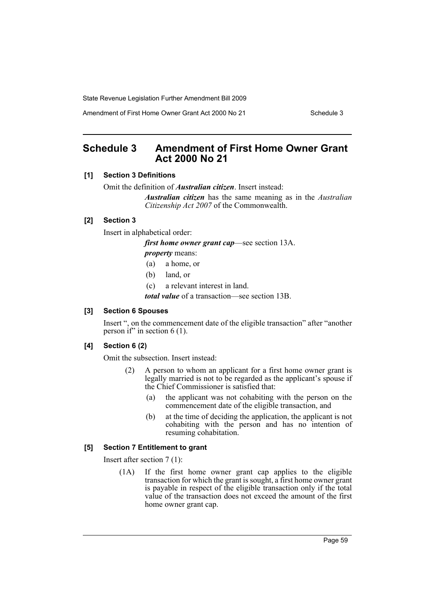Amendment of First Home Owner Grant Act 2000 No 21 Schedule 3

# **Schedule 3 Amendment of First Home Owner Grant Act 2000 No 21**

## **[1] Section 3 Definitions**

Omit the definition of *Australian citizen*. Insert instead:

*Australian citizen* has the same meaning as in the *Australian Citizenship Act 2007* of the Commonwealth.

## **[2] Section 3**

Insert in alphabetical order:

*first home owner grant cap*—see section 13A.

*property* means:

- (a) a home, or
- (b) land, or
- (c) a relevant interest in land.

*total value* of a transaction—see section 13B.

## **[3] Section 6 Spouses**

Insert ", on the commencement date of the eligible transaction" after "another person if" in section  $6(1)$ .

## **[4] Section 6 (2)**

Omit the subsection. Insert instead:

- (2) A person to whom an applicant for a first home owner grant is legally married is not to be regarded as the applicant's spouse if the Chief Commissioner is satisfied that:
	- (a) the applicant was not cohabiting with the person on the commencement date of the eligible transaction, and
	- (b) at the time of deciding the application, the applicant is not cohabiting with the person and has no intention of resuming cohabitation.

## **[5] Section 7 Entitlement to grant**

Insert after section 7 (1):

(1A) If the first home owner grant cap applies to the eligible transaction for which the grant is sought, a first home owner grant is payable in respect of the eligible transaction only if the total value of the transaction does not exceed the amount of the first home owner grant cap.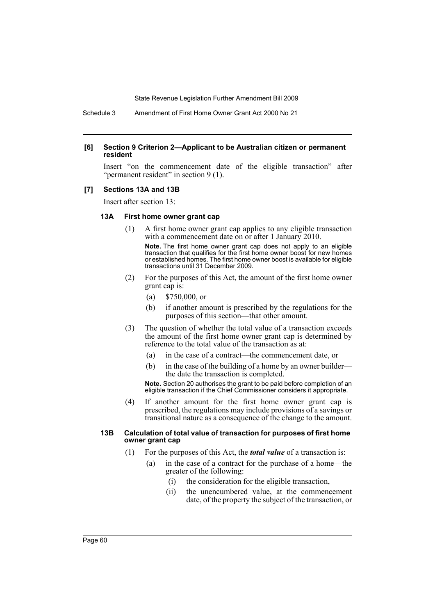Schedule 3 Amendment of First Home Owner Grant Act 2000 No 21

#### **[6] Section 9 Criterion 2—Applicant to be Australian citizen or permanent resident**

Insert "on the commencement date of the eligible transaction" after "permanent resident" in section 9 (1).

#### **[7] Sections 13A and 13B**

Insert after section 13:

#### **13A First home owner grant cap**

(1) A first home owner grant cap applies to any eligible transaction with a commencement date on or after 1 January 2010.

**Note.** The first home owner grant cap does not apply to an eligible transaction that qualifies for the first home owner boost for new homes or established homes. The first home owner boost is available for eligible transactions until 31 December 2009.

- (2) For the purposes of this Act, the amount of the first home owner grant cap is:
	- (a) \$750,000, or
	- (b) if another amount is prescribed by the regulations for the purposes of this section—that other amount.
- (3) The question of whether the total value of a transaction exceeds the amount of the first home owner grant cap is determined by reference to the total value of the transaction as at:
	- (a) in the case of a contract—the commencement date, or
	- (b) in the case of the building of a home by an owner builder the date the transaction is completed.

**Note.** Section 20 authorises the grant to be paid before completion of an eligible transaction if the Chief Commissioner considers it appropriate.

(4) If another amount for the first home owner grant cap is prescribed, the regulations may include provisions of a savings or transitional nature as a consequence of the change to the amount.

### **13B Calculation of total value of transaction for purposes of first home owner grant cap**

- (1) For the purposes of this Act, the *total value* of a transaction is:
	- (a) in the case of a contract for the purchase of a home—the greater of the following:
		- (i) the consideration for the eligible transaction,
		- (ii) the unencumbered value, at the commencement date, of the property the subject of the transaction, or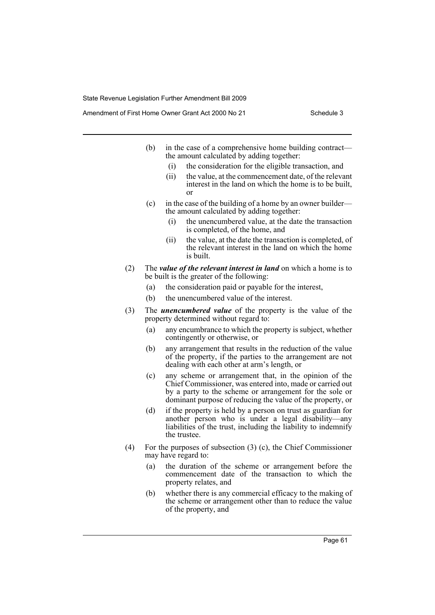- (b) in the case of a comprehensive home building contract the amount calculated by adding together:
	- (i) the consideration for the eligible transaction, and
	- (ii) the value, at the commencement date, of the relevant interest in the land on which the home is to be built, or
- (c) in the case of the building of a home by an owner builder the amount calculated by adding together:
	- (i) the unencumbered value, at the date the transaction is completed, of the home, and
	- (ii) the value, at the date the transaction is completed, of the relevant interest in the land on which the home is built.
- (2) The *value of the relevant interest in land* on which a home is to be built is the greater of the following:
	- (a) the consideration paid or payable for the interest,
	- (b) the unencumbered value of the interest.
- (3) The *unencumbered value* of the property is the value of the property determined without regard to:
	- (a) any encumbrance to which the property is subject, whether contingently or otherwise, or
	- (b) any arrangement that results in the reduction of the value of the property, if the parties to the arrangement are not dealing with each other at arm's length, or
	- (c) any scheme or arrangement that, in the opinion of the Chief Commissioner, was entered into, made or carried out by a party to the scheme or arrangement for the sole or dominant purpose of reducing the value of the property, or
	- (d) if the property is held by a person on trust as guardian for another person who is under a legal disability—any liabilities of the trust, including the liability to indemnify the trustee.
- (4) For the purposes of subsection (3) (c), the Chief Commissioner may have regard to:
	- (a) the duration of the scheme or arrangement before the commencement date of the transaction to which the property relates, and
	- (b) whether there is any commercial efficacy to the making of the scheme or arrangement other than to reduce the value of the property, and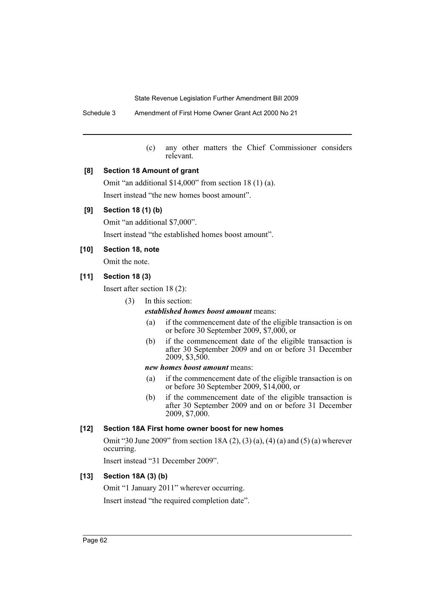Schedule 3 Amendment of First Home Owner Grant Act 2000 No 21

(c) any other matters the Chief Commissioner considers relevant.

## **[8] Section 18 Amount of grant**

Omit "an additional \$14,000" from section 18 (1) (a). Insert instead "the new homes boost amount".

## **[9] Section 18 (1) (b)**

Omit "an additional \$7,000".

Insert instead "the established homes boost amount".

## **[10] Section 18, note**

Omit the note.

## **[11] Section 18 (3)**

Insert after section 18 (2):

(3) In this section:

## *established homes boost amount* means:

- (a) if the commencement date of the eligible transaction is on or before 30 September 2009, \$7,000, or
- (b) if the commencement date of the eligible transaction is after 30 September 2009 and on or before 31 December 2009, \$3,500.

## *new homes boost amount* means:

- (a) if the commencement date of the eligible transaction is on or before 30 September 2009, \$14,000, or
- (b) if the commencement date of the eligible transaction is after 30 September 2009 and on or before 31 December 2009, \$7,000.

## **[12] Section 18A First home owner boost for new homes**

Omit "30 June 2009" from section 18A (2), (3) (a), (4) (a) and (5) (a) wherever occurring.

Insert instead "31 December 2009".

## **[13] Section 18A (3) (b)**

Omit "1 January 2011" wherever occurring. Insert instead "the required completion date".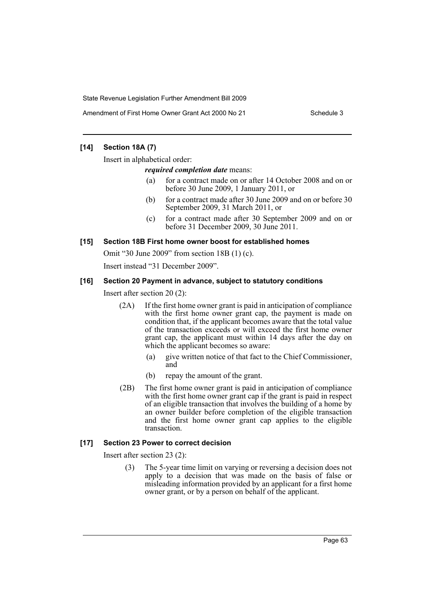## **[14] Section 18A (7)**

Insert in alphabetical order:

*required completion date* means:

- (a) for a contract made on or after 14 October 2008 and on or before 30 June 2009, 1 January 2011, or
- (b) for a contract made after 30 June 2009 and on or before 30 September 2009, 31 March 2011, or
- (c) for a contract made after 30 September 2009 and on or before 31 December 2009, 30 June 2011.

## **[15] Section 18B First home owner boost for established homes**

Omit "30 June 2009" from section 18B (1) (c).

Insert instead "31 December 2009".

## **[16] Section 20 Payment in advance, subject to statutory conditions**

Insert after section 20 (2):

- (2A) If the first home owner grant is paid in anticipation of compliance with the first home owner grant cap, the payment is made on condition that, if the applicant becomes aware that the total value of the transaction exceeds or will exceed the first home owner grant cap, the applicant must within 14 days after the day on which the applicant becomes so aware:
	- (a) give written notice of that fact to the Chief Commissioner, and
	- (b) repay the amount of the grant.
- (2B) The first home owner grant is paid in anticipation of compliance with the first home owner grant cap if the grant is paid in respect of an eligible transaction that involves the building of a home by an owner builder before completion of the eligible transaction and the first home owner grant cap applies to the eligible transaction.

## **[17] Section 23 Power to correct decision**

Insert after section 23 (2):

(3) The 5-year time limit on varying or reversing a decision does not apply to a decision that was made on the basis of false or misleading information provided by an applicant for a first home owner grant, or by a person on behalf of the applicant.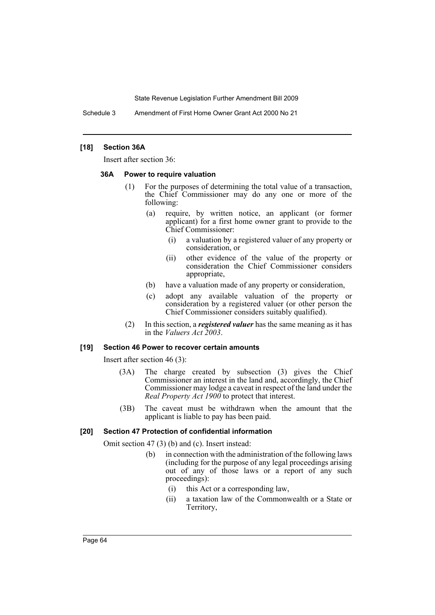Schedule 3 Amendment of First Home Owner Grant Act 2000 No 21

## **[18] Section 36A**

Insert after section 36:

#### **36A Power to require valuation**

- (1) For the purposes of determining the total value of a transaction, the Chief Commissioner may do any one or more of the following:
	- (a) require, by written notice, an applicant (or former applicant) for a first home owner grant to provide to the Chief Commissioner:
		- (i) a valuation by a registered valuer of any property or consideration, or
		- (ii) other evidence of the value of the property or consideration the Chief Commissioner considers appropriate,
	- (b) have a valuation made of any property or consideration,
	- (c) adopt any available valuation of the property or consideration by a registered valuer (or other person the Chief Commissioner considers suitably qualified).
- (2) In this section, a *registered valuer* has the same meaning as it has in the *Valuers Act 2003*.

## **[19] Section 46 Power to recover certain amounts**

Insert after section 46 (3):

- (3A) The charge created by subsection (3) gives the Chief Commissioner an interest in the land and, accordingly, the Chief Commissioner may lodge a caveat in respect of the land under the *Real Property Act 1900* to protect that interest.
- (3B) The caveat must be withdrawn when the amount that the applicant is liable to pay has been paid.

## **[20] Section 47 Protection of confidential information**

Omit section 47 (3) (b) and (c). Insert instead:

- (b) in connection with the administration of the following laws (including for the purpose of any legal proceedings arising out of any of those laws or a report of any such proceedings):
	- (i) this Act or a corresponding law,
	- (ii) a taxation law of the Commonwealth or a State or Territory,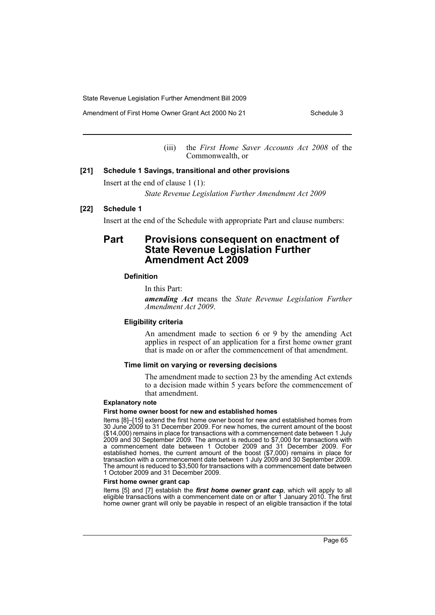Amendment of First Home Owner Grant Act 2000 No 21 Schedule 3

(iii) the *First Home Saver Accounts Act 2008* of the Commonwealth, or

## **[21] Schedule 1 Savings, transitional and other provisions**

Insert at the end of clause 1 (1):

*State Revenue Legislation Further Amendment Act 2009*

#### **[22] Schedule 1**

Insert at the end of the Schedule with appropriate Part and clause numbers:

# **Part Provisions consequent on enactment of State Revenue Legislation Further Amendment Act 2009**

## **Definition**

In this Part:

*amending Act* means the *State Revenue Legislation Further Amendment Act 2009*.

#### **Eligibility criteria**

An amendment made to section 6 or 9 by the amending Act applies in respect of an application for a first home owner grant that is made on or after the commencement of that amendment.

### **Time limit on varying or reversing decisions**

The amendment made to section 23 by the amending Act extends to a decision made within 5 years before the commencement of that amendment.

#### **Explanatory note**

#### **First home owner boost for new and established homes**

Items [8]–[15] extend the first home owner boost for new and established homes from 30 June 2009 to 31 December 2009. For new homes, the current amount of the boost (\$14,000) remains in place for transactions with a commencement date between 1 July 2009 and 30 September 2009. The amount is reduced to \$7,000 for transactions with a commencement date between 1 October 2009 and 31 December 2009. For established homes, the current amount of the boost (\$7,000) remains in place for transaction with a commencement date between 1 July 2009 and 30 September 2009. The amount is reduced to \$3,500 for transactions with a commencement date between 1 October 2009 and 31 December 2009.

#### **First home owner grant cap**

Items [5] and [7] establish the *first home owner grant cap*, which will apply to all eligible transactions with a commencement date on or after 1 January 2010. The first home owner grant will only be payable in respect of an eligible transaction if the total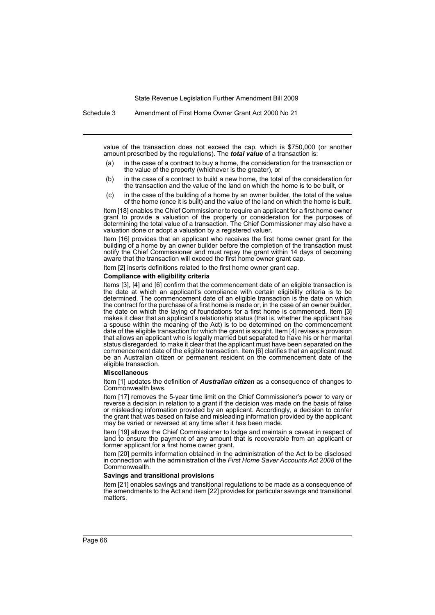Schedule 3 Amendment of First Home Owner Grant Act 2000 No 21

value of the transaction does not exceed the cap, which is \$750,000 (or another amount prescribed by the regulations). The *total value* of a transaction is:

- (a) in the case of a contract to buy a home, the consideration for the transaction or the value of the property (whichever is the greater), or
- (b) in the case of a contract to build a new home, the total of the consideration for the transaction and the value of the land on which the home is to be built, or
- (c) in the case of the building of a home by an owner builder, the total of the value of the home (once it is built) and the value of the land on which the home is built.

Item [18] enables the Chief Commissioner to require an applicant for a first home owner grant to provide a valuation of the property or consideration for the purposes of determining the total value of a transaction. The Chief Commissioner may also have a valuation done or adopt a valuation by a registered valuer.

Item [16] provides that an applicant who receives the first home owner grant for the building of a home by an owner builder before the completion of the transaction must notify the Chief Commissioner and must repay the grant within 14 days of becoming aware that the transaction will exceed the first home owner grant cap.

Item [2] inserts definitions related to the first home owner grant cap.

#### **Compliance with eligibility criteria**

Items [3], [4] and [6] confirm that the commencement date of an eligible transaction is the date at which an applicant's compliance with certain eligibility criteria is to be determined. The commencement date of an eligible transaction is the date on which the contract for the purchase of a first home is made or, in the case of an owner builder, the date on which the laying of foundations for a first home is commenced. Item [3] makes it clear that an applicant's relationship status (that is, whether the applicant has a spouse within the meaning of the Act) is to be determined on the commencement date of the eligible transaction for which the grant is sought. Item [4] revises a provision that allows an applicant who is legally married but separated to have his or her marital status disregarded, to make it clear that the applicant must have been separated on the commencement date of the eligible transaction. Item [6] clarifies that an applicant must be an Australian citizen or permanent resident on the commencement date of the eligible transaction.

#### **Miscellaneous**

Item [1] updates the definition of *Australian citizen* as a consequence of changes to Commonwealth laws.

Item [17] removes the 5-year time limit on the Chief Commissioner's power to vary or reverse a decision in relation to a grant if the decision was made on the basis of false or misleading information provided by an applicant. Accordingly, a decision to confer the grant that was based on false and misleading information provided by the applicant may be varied or reversed at any time after it has been made.

Item [19] allows the Chief Commissioner to lodge and maintain a caveat in respect of land to ensure the payment of any amount that is recoverable from an applicant or former applicant for a first home owner grant.

Item [20] permits information obtained in the administration of the Act to be disclosed in connection with the administration of the *First Home Saver Accounts Act 2008* of the Commonwealth.

#### **Savings and transitional provisions**

Item [21] enables savings and transitional regulations to be made as a consequence of the amendments to the Act and item [22] provides for particular savings and transitional matters.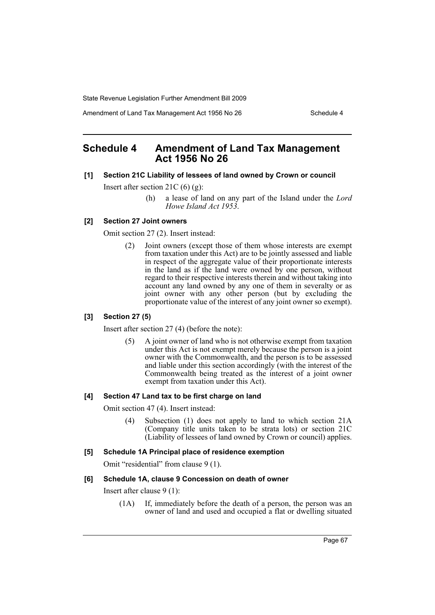Amendment of Land Tax Management Act 1956 No 26 Schedule 4

# **Schedule 4 Amendment of Land Tax Management Act 1956 No 26**

## **[1] Section 21C Liability of lessees of land owned by Crown or council**

Insert after section 21C (6) (g):

(h) a lease of land on any part of the Island under the *Lord Howe Island Act 1953*.

## **[2] Section 27 Joint owners**

Omit section 27 (2). Insert instead:

(2) Joint owners (except those of them whose interests are exempt from taxation under this Act) are to be jointly assessed and liable in respect of the aggregate value of their proportionate interests in the land as if the land were owned by one person, without regard to their respective interests therein and without taking into account any land owned by any one of them in severalty or as joint owner with any other person (but by excluding the proportionate value of the interest of any joint owner so exempt).

## **[3] Section 27 (5)**

Insert after section 27 (4) (before the note):

(5) A joint owner of land who is not otherwise exempt from taxation under this Act is not exempt merely because the person is a joint owner with the Commonwealth, and the person is to be assessed and liable under this section accordingly (with the interest of the Commonwealth being treated as the interest of a joint owner exempt from taxation under this Act).

## **[4] Section 47 Land tax to be first charge on land**

Omit section 47 (4). Insert instead:

(4) Subsection (1) does not apply to land to which section 21A (Company title units taken to be strata lots) or section 21C (Liability of lessees of land owned by Crown or council) applies.

## **[5] Schedule 1A Principal place of residence exemption**

Omit "residential" from clause 9 (1).

## **[6] Schedule 1A, clause 9 Concession on death of owner**

Insert after clause 9 (1):

(1A) If, immediately before the death of a person, the person was an owner of land and used and occupied a flat or dwelling situated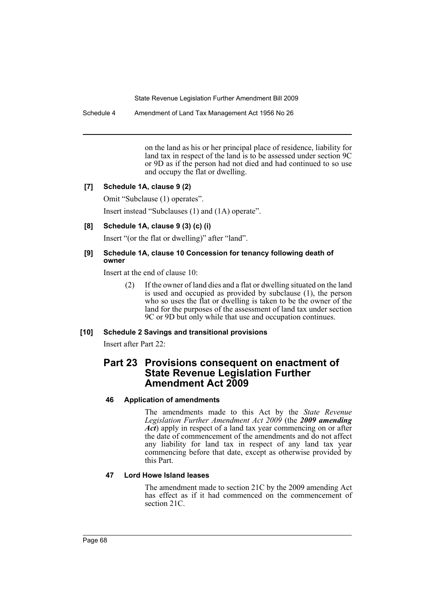Schedule 4 Amendment of Land Tax Management Act 1956 No 26

on the land as his or her principal place of residence, liability for land tax in respect of the land is to be assessed under section 9C or 9D as if the person had not died and had continued to so use and occupy the flat or dwelling.

## **[7] Schedule 1A, clause 9 (2)**

Omit "Subclause (1) operates".

Insert instead "Subclauses (1) and (1A) operate".

## **[8] Schedule 1A, clause 9 (3) (c) (i)**

Insert "(or the flat or dwelling)" after "land".

## **[9] Schedule 1A, clause 10 Concession for tenancy following death of owner**

Insert at the end of clause 10:

(2) If the owner of land dies and a flat or dwelling situated on the land is used and occupied as provided by subclause (1), the person who so uses the flat or dwelling is taken to be the owner of the land for the purposes of the assessment of land tax under section 9C or 9D but only while that use and occupation continues.

## **[10] Schedule 2 Savings and transitional provisions**

Insert after Part 22:

# **Part 23 Provisions consequent on enactment of State Revenue Legislation Further Amendment Act 2009**

## **46 Application of amendments**

The amendments made to this Act by the *State Revenue Legislation Further Amendment Act 2009* (the *2009 amending Act*) apply in respect of a land tax year commencing on or after the date of commencement of the amendments and do not affect any liability for land tax in respect of any land tax year commencing before that date, except as otherwise provided by this Part.

## **47 Lord Howe Island leases**

The amendment made to section 21C by the 2009 amending Act has effect as if it had commenced on the commencement of section 21C.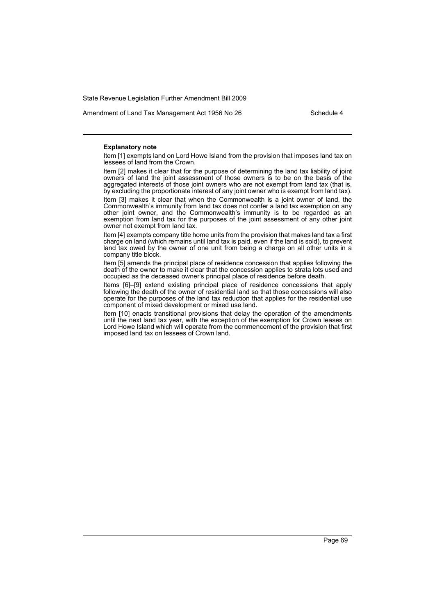Amendment of Land Tax Management Act 1956 No 26 Schedule 4

#### **Explanatory note**

Item [1] exempts land on Lord Howe Island from the provision that imposes land tax on lessees of land from the Crown.

Item [2] makes it clear that for the purpose of determining the land tax liability of joint owners of land the joint assessment of those owners is to be on the basis of the aggregated interests of those joint owners who are not exempt from land tax (that is, by excluding the proportionate interest of any joint owner who is exempt from land tax).

Item [3] makes it clear that when the Commonwealth is a joint owner of land, the Commonwealth's immunity from land tax does not confer a land tax exemption on any other joint owner, and the Commonwealth's immunity is to be regarded as an exemption from land tax for the purposes of the joint assessment of any other joint owner not exempt from land tax.

Item [4] exempts company title home units from the provision that makes land tax a first charge on land (which remains until land tax is paid, even if the land is sold), to prevent land tax owed by the owner of one unit from being a charge on all other units in a company title block.

Item [5] amends the principal place of residence concession that applies following the death of the owner to make it clear that the concession applies to strata lots used and occupied as the deceased owner's principal place of residence before death.

Items [6]–[9] extend existing principal place of residence concessions that apply following the death of the owner of residential land so that those concessions will also operate for the purposes of the land tax reduction that applies for the residential use component of mixed development or mixed use land.

Item [10] enacts transitional provisions that delay the operation of the amendments until the next land tax year, with the exception of the exemption for Crown leases on Lord Howe Island which will operate from the commencement of the provision that first imposed land tax on lessees of Crown land.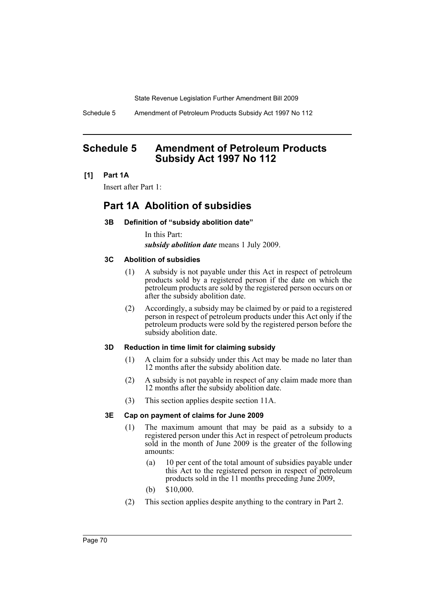Schedule 5 Amendment of Petroleum Products Subsidy Act 1997 No 112

# **Schedule 5 Amendment of Petroleum Products Subsidy Act 1997 No 112**

## **[1] Part 1A**

Insert after Part 1:

# **Part 1A Abolition of subsidies**

## **3B Definition of "subsidy abolition date"**

In this Part: *subsidy abolition date* means 1 July 2009.

## **3C Abolition of subsidies**

- (1) A subsidy is not payable under this Act in respect of petroleum products sold by a registered person if the date on which the petroleum products are sold by the registered person occurs on or after the subsidy abolition date.
- (2) Accordingly, a subsidy may be claimed by or paid to a registered person in respect of petroleum products under this Act only if the petroleum products were sold by the registered person before the subsidy abolition date.

## **3D Reduction in time limit for claiming subsidy**

- (1) A claim for a subsidy under this Act may be made no later than 12 months after the subsidy abolition date.
- (2) A subsidy is not payable in respect of any claim made more than 12 months after the subsidy abolition date.
- (3) This section applies despite section 11A.

## **3E Cap on payment of claims for June 2009**

- (1) The maximum amount that may be paid as a subsidy to a registered person under this Act in respect of petroleum products sold in the month of June 2009 is the greater of the following amounts:
	- (a) 10 per cent of the total amount of subsidies payable under this Act to the registered person in respect of petroleum products sold in the 11 months preceding June 2009,
	- (b) \$10,000.
- (2) This section applies despite anything to the contrary in Part 2.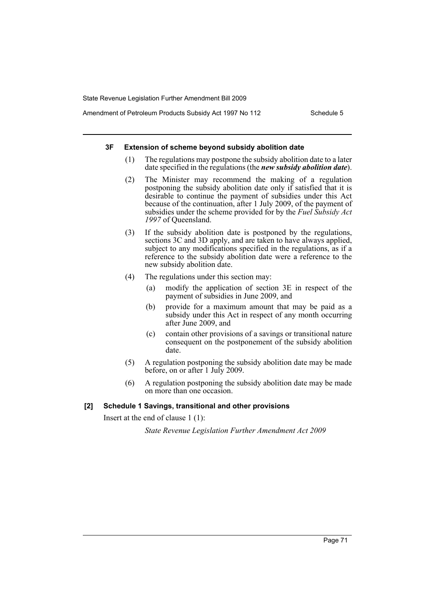Amendment of Petroleum Products Subsidy Act 1997 No 112 Schedule 5

## **3F Extension of scheme beyond subsidy abolition date**

- (1) The regulations may postpone the subsidy abolition date to a later date specified in the regulations (the *new subsidy abolition date*).
- (2) The Minister may recommend the making of a regulation postponing the subsidy abolition date only if satisfied that it is desirable to continue the payment of subsidies under this Act because of the continuation, after 1 July 2009, of the payment of subsidies under the scheme provided for by the *Fuel Subsidy Act 1997* of Queensland.
- (3) If the subsidy abolition date is postponed by the regulations, sections 3C and 3D apply, and are taken to have always applied, subject to any modifications specified in the regulations, as if a reference to the subsidy abolition date were a reference to the new subsidy abolition date.
- (4) The regulations under this section may:
	- (a) modify the application of section 3E in respect of the payment of subsidies in June 2009, and
	- (b) provide for a maximum amount that may be paid as a subsidy under this Act in respect of any month occurring after June 2009, and
	- (c) contain other provisions of a savings or transitional nature consequent on the postponement of the subsidy abolition date.
- (5) A regulation postponing the subsidy abolition date may be made before, on or after 1 July 2009.
- (6) A regulation postponing the subsidy abolition date may be made on more than one occasion.

## **[2] Schedule 1 Savings, transitional and other provisions**

Insert at the end of clause 1 (1):

*State Revenue Legislation Further Amendment Act 2009*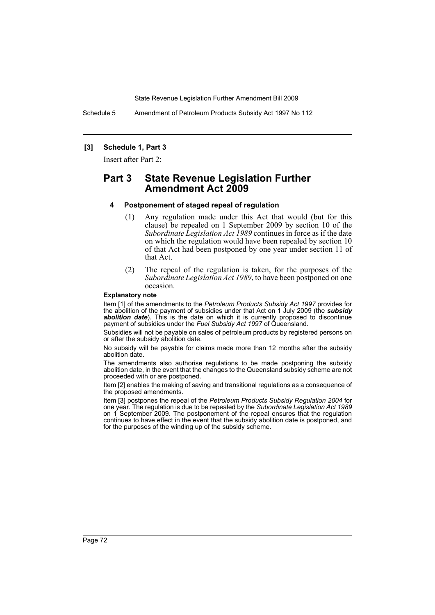Schedule 5 Amendment of Petroleum Products Subsidy Act 1997 No 112

### **[3] Schedule 1, Part 3**

Insert after Part 2:

# **Part 3 State Revenue Legislation Further Amendment Act 2009**

### **4 Postponement of staged repeal of regulation**

- (1) Any regulation made under this Act that would (but for this clause) be repealed on 1 September 2009 by section 10 of the *Subordinate Legislation Act 1989* continues in force as if the date on which the regulation would have been repealed by section 10 of that Act had been postponed by one year under section 11 of that Act.
- (2) The repeal of the regulation is taken, for the purposes of the *Subordinate Legislation Act 1989*, to have been postponed on one occasion.

#### **Explanatory note**

Item [1] of the amendments to the *Petroleum Products Subsidy Act 1997* provides for the abolition of the payment of subsidies under that Act on 1 July 2009 (the *subsidy* **abolition date**). This is the date on which it is currently proposed to discontinue payment of subsidies under the *Fuel Subsidy Act 1997* of Queensland.

Subsidies will not be payable on sales of petroleum products by registered persons on or after the subsidy abolition date.

No subsidy will be payable for claims made more than 12 months after the subsidy abolition date.

The amendments also authorise regulations to be made postponing the subsidy abolition date, in the event that the changes to the Queensland subsidy scheme are not proceeded with or are postponed.

Item [2] enables the making of saving and transitional regulations as a consequence of the proposed amendments.

Item [3] postpones the repeal of the *Petroleum Products Subsidy Regulation 2004* for one year. The regulation is due to be repealed by the *Subordinate Legislation Act 1989* on 1 September 2009. The postponement of the repeal ensures that the regulation continues to have effect in the event that the subsidy abolition date is postponed, and for the purposes of the winding up of the subsidy scheme.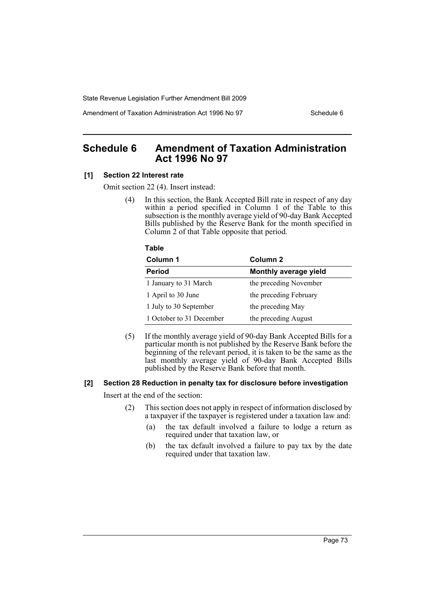Amendment of Taxation Administration Act 1996 No 97 Schedule 6

# **Schedule 6 Amendment of Taxation Administration Act 1996 No 97**

### **[1] Section 22 Interest rate**

Omit section 22 (4). Insert instead:

(4) In this section, the Bank Accepted Bill rate in respect of any day within a period specified in Column 1 of the Table to this subsection is the monthly average yield of 90-day Bank Accepted Bills published by the Reserve Bank for the month specified in Column 2 of that Table opposite that period.

#### **Table**

| Column 1                 | Column 2               |
|--------------------------|------------------------|
| <b>Period</b>            | Monthly average yield  |
| 1 January to 31 March    | the preceding November |
| 1 April to 30 June       | the preceding February |
| 1 July to 30 September   | the preceding May      |
| 1 October to 31 December | the preceding August   |

(5) If the monthly average yield of 90-day Bank Accepted Bills for a particular month is not published by the Reserve Bank before the beginning of the relevant period, it is taken to be the same as the last monthly average yield of 90-day Bank Accepted Bills published by the Reserve Bank before that month.

#### **[2] Section 28 Reduction in penalty tax for disclosure before investigation**

Insert at the end of the section:

- (2) This section does not apply in respect of information disclosed by a taxpayer if the taxpayer is registered under a taxation law and:
	- (a) the tax default involved a failure to lodge a return as required under that taxation law, or
	- (b) the tax default involved a failure to pay tax by the date required under that taxation law.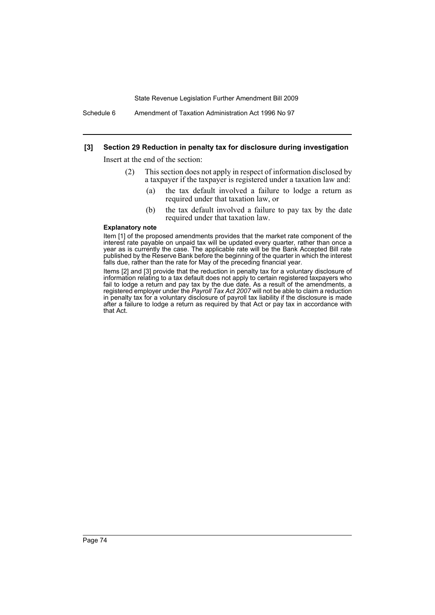Schedule 6 Amendment of Taxation Administration Act 1996 No 97

### **[3] Section 29 Reduction in penalty tax for disclosure during investigation**

Insert at the end of the section:

- (2) This section does not apply in respect of information disclosed by a taxpayer if the taxpayer is registered under a taxation law and:
	- (a) the tax default involved a failure to lodge a return as required under that taxation law, or
	- (b) the tax default involved a failure to pay tax by the date required under that taxation law.

#### **Explanatory note**

Item [1] of the proposed amendments provides that the market rate component of the interest rate payable on unpaid tax will be updated every quarter, rather than once a year as is currently the case. The applicable rate will be the Bank Accepted Bill rate published by the Reserve Bank before the beginning of the quarter in which the interest falls due, rather than the rate for May of the preceding financial year.

Items [2] and [3] provide that the reduction in penalty tax for a voluntary disclosure of information relating to a tax default does not apply to certain registered taxpayers who fail to lodge a return and pay tax by the due date. As a result of the amendments, a registered employer under the *Payroll Tax Act 2007* will not be able to claim a reduction in penalty tax for a voluntary disclosure of payroll tax liability if the disclosure is made after a failure to lodge a return as required by that Act or pay tax in accordance with that Act.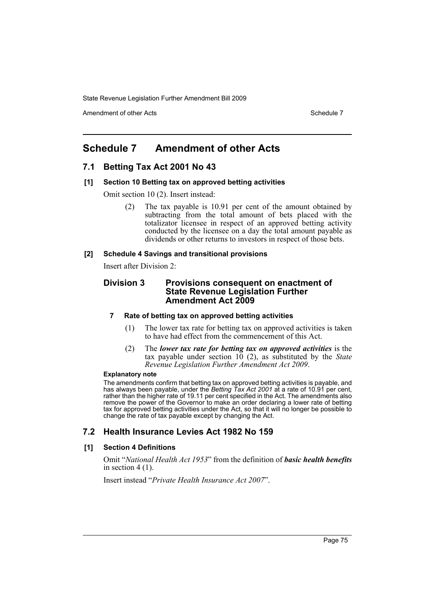Amendment of other Acts **Schedule 7** and the Acts Schedule 7

# **Schedule 7 Amendment of other Acts**

## **7.1 Betting Tax Act 2001 No 43**

### **[1] Section 10 Betting tax on approved betting activities**

Omit section 10 (2). Insert instead:

(2) The tax payable is 10.91 per cent of the amount obtained by subtracting from the total amount of bets placed with the totalizator licensee in respect of an approved betting activity conducted by the licensee on a day the total amount payable as dividends or other returns to investors in respect of those bets.

### **[2] Schedule 4 Savings and transitional provisions**

Insert after Division 2:

### **Division 3 Provisions consequent on enactment of State Revenue Legislation Further Amendment Act 2009**

### **7 Rate of betting tax on approved betting activities**

- (1) The lower tax rate for betting tax on approved activities is taken to have had effect from the commencement of this Act.
- (2) The *lower tax rate for betting tax on approved activities* is the tax payable under section 10 (2), as substituted by the *State Revenue Legislation Further Amendment Act 2009*.

### **Explanatory note**

The amendments confirm that betting tax on approved betting activities is payable, and has always been payable, under the *Betting Tax Act 2001* at a rate of 10.91 per cent, rather than the higher rate of 19.11 per cent specified in the Act. The amendments also remove the power of the Governor to make an order declaring a lower rate of betting tax for approved betting activities under the Act, so that it will no longer be possible to change the rate of tax payable except by changing the Act.

## **7.2 Health Insurance Levies Act 1982 No 159**

### **[1] Section 4 Definitions**

Omit "*National Health Act 1953*" from the definition of *basic health benefits* in section 4 (1).

Insert instead "*Private Health Insurance Act 2007*".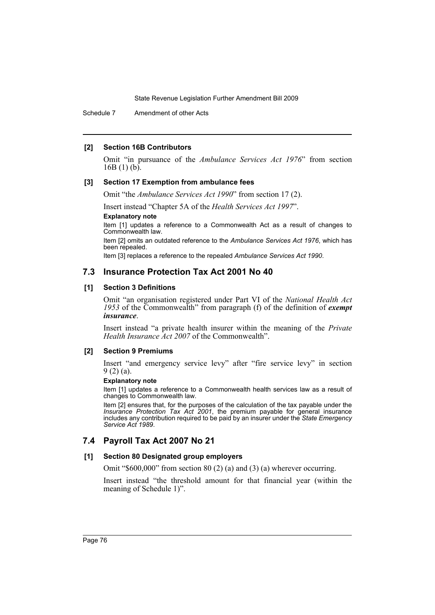Schedule 7 Amendment of other Acts

### **[2] Section 16B Contributors**

Omit "in pursuance of the *Ambulance Services Act 1976*" from section  $16B(1)(b)$ .

### **[3] Section 17 Exemption from ambulance fees**

Omit "the *Ambulance Services Act 1990*" from section 17 (2).

Insert instead "Chapter 5A of the *Health Services Act 1997*".

**Explanatory note**

Item [1] updates a reference to a Commonwealth Act as a result of changes to Commonwealth law.

Item [2] omits an outdated reference to the *Ambulance Services Act 1976*, which has been repealed.

Item [3] replaces a reference to the repealed *Ambulance Services Act 1990*.

## **7.3 Insurance Protection Tax Act 2001 No 40**

### **[1] Section 3 Definitions**

Omit "an organisation registered under Part VI of the *National Health Act 1953* of the Commonwealth" from paragraph (f) of the definition of *exempt insurance*.

Insert instead "a private health insurer within the meaning of the *Private Health Insurance Act 2007* of the Commonwealth".

### **[2] Section 9 Premiums**

Insert "and emergency service levy" after "fire service levy" in section 9 (2) (a).

### **Explanatory note**

Item [1] updates a reference to a Commonwealth health services law as a result of changes to Commonwealth law.

Item [2] ensures that, for the purposes of the calculation of the tax payable under the *Insurance Protection Tax Act 2001*, the premium payable for general insurance includes any contribution required to be paid by an insurer under the *State Emergency Service Act 1989*.

## **7.4 Payroll Tax Act 2007 No 21**

### **[1] Section 80 Designated group employers**

Omit "\$600,000" from section 80 (2) (a) and (3) (a) wherever occurring.

Insert instead "the threshold amount for that financial year (within the meaning of Schedule 1)".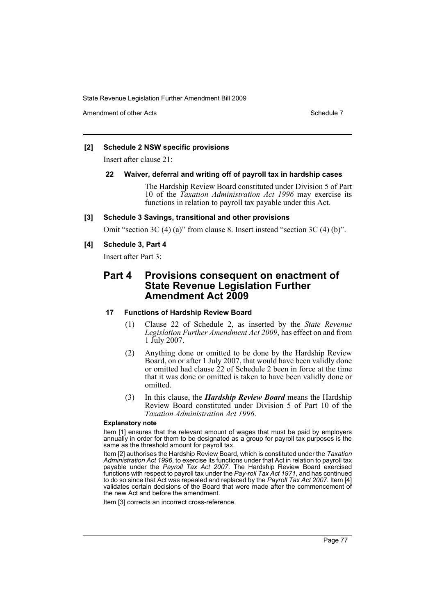Amendment of other Acts **Schedule 7** and the *Schedule 7* and the *Schedule 7* and the *Schedule 7* and the *Schedule 7* and the *Schedule 7* and the *Schedule 7* and the *Schedule 7* and the *Schedule 7* and the *Schedule* 

### **[2] Schedule 2 NSW specific provisions**

Insert after clause 21:

### **22 Waiver, deferral and writing off of payroll tax in hardship cases**

The Hardship Review Board constituted under Division 5 of Part 10 of the *Taxation Administration Act 1996* may exercise its functions in relation to payroll tax payable under this Act.

### **[3] Schedule 3 Savings, transitional and other provisions**

Omit "section 3C (4) (a)" from clause 8. Insert instead "section 3C (4) (b)".

### **[4] Schedule 3, Part 4**

Insert after Part 3:

# **Part 4 Provisions consequent on enactment of State Revenue Legislation Further Amendment Act 2009**

### **17 Functions of Hardship Review Board**

- (1) Clause 22 of Schedule 2, as inserted by the *State Revenue Legislation Further Amendment Act 2009*, has effect on and from 1 July 2007.
- (2) Anything done or omitted to be done by the Hardship Review Board, on or after 1 July 2007, that would have been validly done or omitted had clause 22 of Schedule 2 been in force at the time that it was done or omitted is taken to have been validly done or omitted.
- (3) In this clause, the *Hardship Review Board* means the Hardship Review Board constituted under Division 5 of Part 10 of the *Taxation Administration Act 1996*.

### **Explanatory note**

Item [1] ensures that the relevant amount of wages that must be paid by employers annually in order for them to be designated as a group for payroll tax purposes is the same as the threshold amount for payroll tax.

Item [2] authorises the Hardship Review Board, which is constituted under the *Taxation Administration Act 1996*, to exercise its functions under that Act in relation to payroll tax payable under the *Payroll Tax Act 2007*. The Hardship Review Board exercised functions with respect to payroll tax under the *Pay-roll Tax Act 1971*, and has continued to do so since that Act was repealed and replaced by the *Payroll Tax Act 2007*. Item [4] validates certain decisions of the Board that were made after the commencement of the new Act and before the amendment.

Item [3] corrects an incorrect cross-reference.